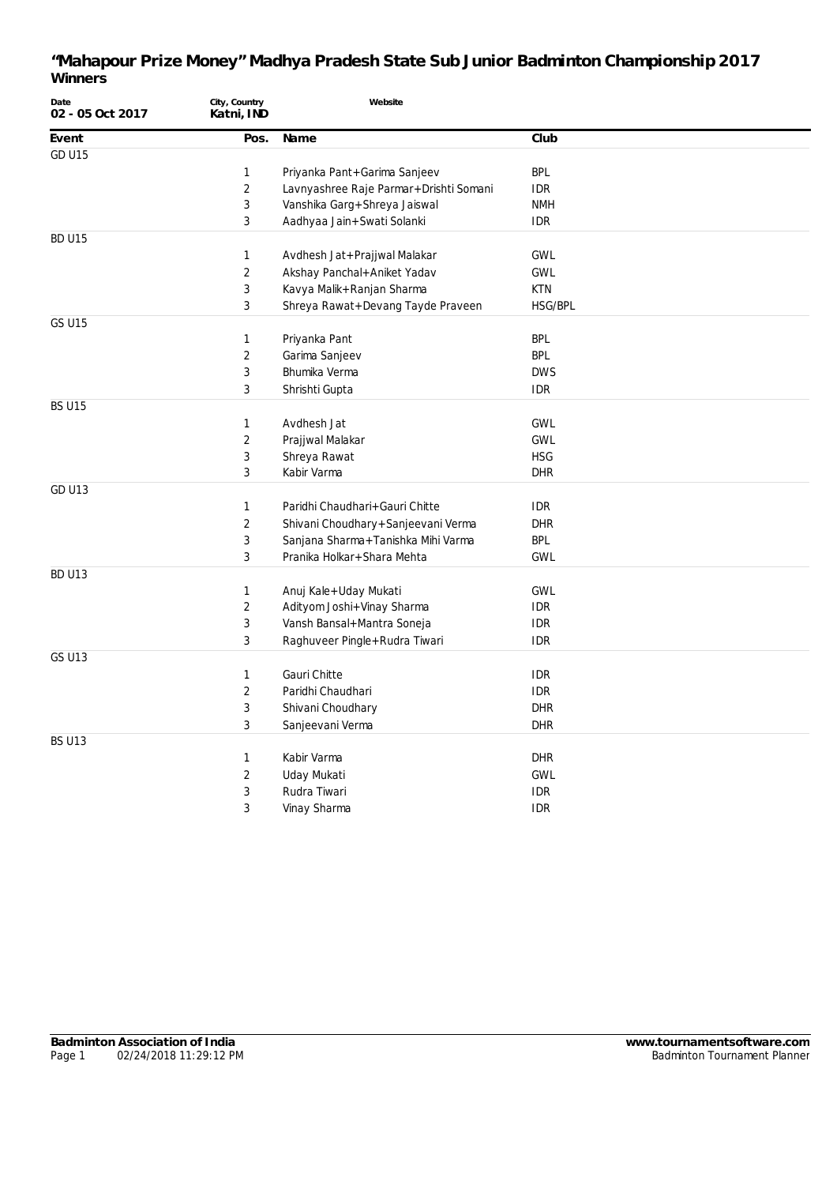| Date<br>02 - 05 Oct 2017 | City, Country<br>Katni, IND | Website                                |            |
|--------------------------|-----------------------------|----------------------------------------|------------|
| Event                    | Pos.                        | Name                                   | Club       |
| <b>GD U15</b>            |                             |                                        |            |
|                          | 1                           | Priyanka Pant+Garima Sanjeev           | <b>BPL</b> |
|                          | $\sqrt{2}$                  | Lavnyashree Raje Parmar+Drishti Somani | <b>IDR</b> |
|                          | 3                           | Vanshika Garg+Shreya Jaiswal           | <b>NMH</b> |
|                          | 3                           | Aadhyaa Jain+Swati Solanki             | <b>IDR</b> |
| BD U15                   |                             |                                        |            |
|                          | $\mathbf{1}$                | Avdhesh Jat+Prajjwal Malakar           | <b>GWL</b> |
|                          | $\overline{2}$              | Akshay Panchal+Aniket Yadav            | <b>GWL</b> |
|                          | $\sqrt{3}$                  | Kavya Malik+Ranjan Sharma              | <b>KTN</b> |
|                          | 3                           | Shreya Rawat+Devang Tayde Praveen      | HSG/BPL    |
| <b>GS U15</b>            |                             |                                        |            |
|                          | 1                           | Priyanka Pant                          | <b>BPL</b> |
|                          | $\overline{2}$              | Garima Sanjeev                         | <b>BPL</b> |
|                          | $\sqrt{3}$                  | Bhumika Verma                          | <b>DWS</b> |
|                          | $\mathbf{3}$                | Shrishti Gupta                         | <b>IDR</b> |
| <b>BS U15</b>            |                             |                                        |            |
|                          | $\mathbf{1}$                | Avdhesh Jat                            | <b>GWL</b> |
|                          | $\sqrt{2}$                  | Prajjwal Malakar                       | <b>GWL</b> |
|                          | $\sqrt{3}$                  | Shreya Rawat                           | <b>HSG</b> |
|                          | 3                           | Kabir Varma                            | <b>DHR</b> |
| <b>GD U13</b>            |                             |                                        |            |
|                          | 1                           | Paridhi Chaudhari+Gauri Chitte         | <b>IDR</b> |
|                          | $\overline{2}$              | Shivani Choudhary + Sanjeevani Verma   | <b>DHR</b> |
|                          | 3                           | Sanjana Sharma+Tanishka Mihi Varma     | <b>BPL</b> |
|                          | $\mathbf{3}$                | Pranika Holkar+Shara Mehta             | <b>GWL</b> |
| <b>BD U13</b>            |                             |                                        |            |
|                          | $\mathbf{1}$                | Anuj Kale+Uday Mukati                  | <b>GWL</b> |
|                          | $\overline{2}$              | Adityom Joshi+Vinay Sharma             | <b>IDR</b> |
|                          | $\mathbf{3}$                | Vansh Bansal+Mantra Soneja             | <b>IDR</b> |
|                          | 3                           | Raghuveer Pingle+Rudra Tiwari          | <b>IDR</b> |
| <b>GS U13</b>            |                             |                                        |            |
|                          | 1                           | Gauri Chitte                           | <b>IDR</b> |
|                          | $\overline{2}$              | Paridhi Chaudhari                      | <b>IDR</b> |
|                          | $\sqrt{3}$                  | Shivani Choudhary                      | <b>DHR</b> |
|                          | 3                           | Sanjeevani Verma                       | <b>DHR</b> |
| <b>BS U13</b>            |                             |                                        |            |
|                          | 1                           | Kabir Varma                            | <b>DHR</b> |
|                          | $\overline{2}$              | Uday Mukati                            | <b>GWL</b> |
|                          | 3                           | Rudra Tiwari                           | <b>IDR</b> |
|                          | 3                           | Vinay Sharma                           | <b>IDR</b> |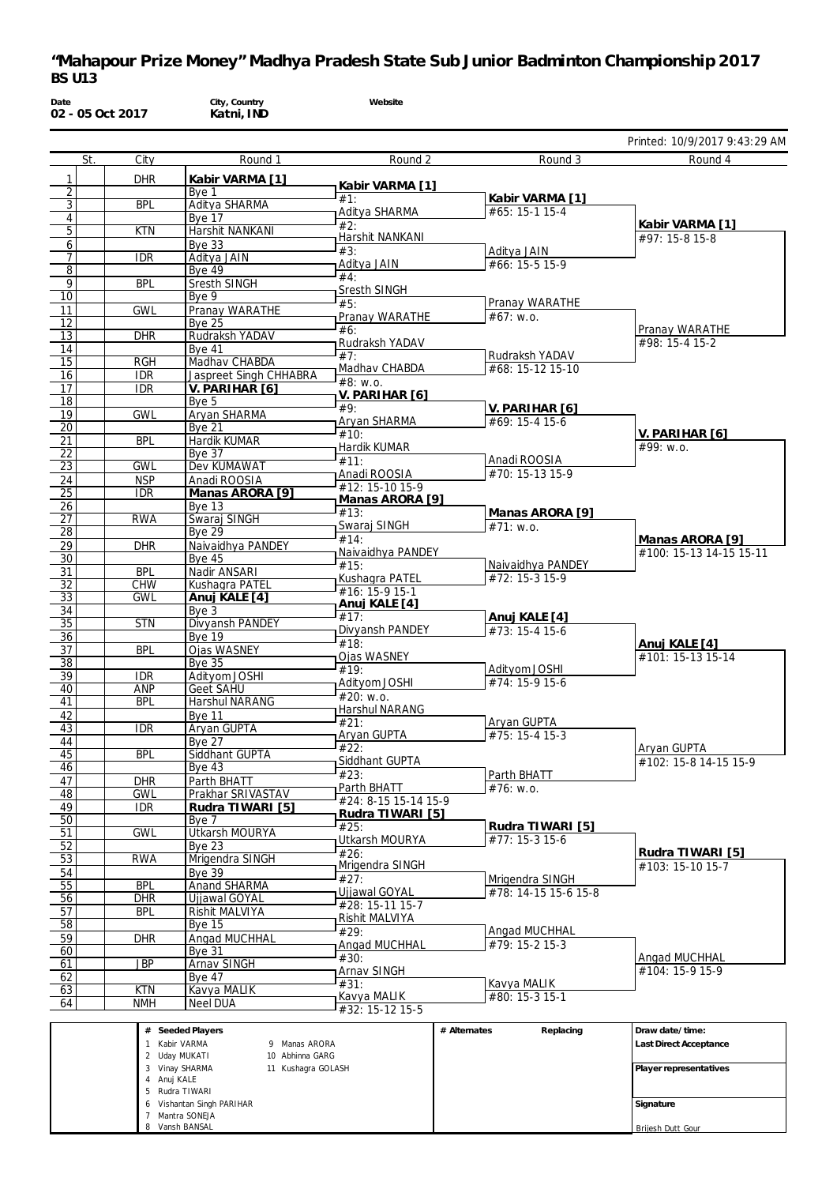| Date<br>02 - 05 Oct 2017         |                          | City, Country<br>Katni, IND                                              | Website                          |                                     |                                         |
|----------------------------------|--------------------------|--------------------------------------------------------------------------|----------------------------------|-------------------------------------|-----------------------------------------|
|                                  |                          |                                                                          |                                  |                                     | Printed: 10/9/2017 9:43:29 AM           |
| St.                              | City                     | Round 1                                                                  | Round 2                          | Round 3                             | Round 4                                 |
| 1                                | <b>DHR</b>               | Kabir VARMA [1]                                                          | Kabir VARMA [1]                  |                                     |                                         |
| $\overline{2}$<br>$\overline{3}$ | <b>BPL</b>               | Bye 1<br>Aditya SHARMA                                                   | #1:                              | Kabir VARMA [1]                     |                                         |
| $\overline{4}$                   |                          | Bye 17                                                                   | Aditya SHARMA                    | #65: 15-1 15-4                      |                                         |
| 5                                | <b>KTN</b>               | Harshit NANKANI                                                          | #2:<br>Harshit NANKANI           |                                     | Kabir VARMA [1]<br>#97: 15-8 15-8       |
| 6                                |                          | Bye 33                                                                   | #3:                              | Aditya JAIN                         |                                         |
| $\overline{7}$<br>8              | <b>IDR</b>               | Aditya JAIN<br><b>Bye 49</b>                                             | Aditya JAIN                      | #66: 15-5 15-9                      |                                         |
| 9                                | <b>BPL</b>               | Sresth SINGH                                                             | #4:                              |                                     |                                         |
| 10                               |                          | Bye 9                                                                    | Sresth SINGH<br>#5:              | Pranay WARATHE                      |                                         |
| 11                               | <b>GWL</b>               | Pranay WARATHE                                                           | Pranay WARATHE                   | #67: W.0.                           |                                         |
| 12<br>13                         | <b>DHR</b>               | <b>Bye 25</b><br>Rudraksh YADAV                                          | #6:                              |                                     | Pranay WARATHE                          |
| 14                               |                          | <b>Bye 41</b>                                                            | Rudraksh YADAV                   |                                     | #98: 15-4 15-2                          |
| 15                               | <b>RGH</b>               | Madhav CHABDA                                                            | #7:                              | Rudraksh YADAV                      |                                         |
| 16                               | <b>IDR</b>               | Jaspreet Singh CHHABRA                                                   | Madhav CHABDA<br>#8: W.0.        | #68: 15-12 15-10                    |                                         |
| 17                               | <b>IDR</b>               | V. PARIHAR [6]                                                           | V. PARIHAR [6]                   |                                     |                                         |
| 18<br>19                         | <b>GWL</b>               | Bye 5<br>Aryan SHARMA                                                    | #9:                              | V. PARIHAR [6]                      |                                         |
| 20                               |                          | <b>Bye 21</b>                                                            | <b>Aryan SHARMA</b>              | #69: 15-4 15-6                      |                                         |
| 21                               | <b>BPL</b>               | Hardik KUMAR                                                             | #10:<br>Hardik KUMAR             |                                     | V. PARIHAR [6]<br>#99: w.o.             |
| $\overline{22}$                  |                          | <b>Bye 37</b>                                                            | #11:                             | Anadi ROOSIA                        |                                         |
| 23<br>24                         | <b>GWL</b><br><b>NSP</b> | Dev KUMAWAT<br>Anadi ROOSIA                                              | Anadi ROOSIA                     | #70: 15-13 15-9                     |                                         |
| 25                               | <b>IDR</b>               | Manas ARORA [9]                                                          | #12: 15-10 15-9                  |                                     |                                         |
| 26                               |                          | Bye 13                                                                   | Manas ARORA [9]<br>#13:          | Manas ARORA [9]                     |                                         |
| $\overline{27}$                  | <b>RWA</b>               | Swaraj SINGH                                                             | Swaraj SINGH                     | #71: w.o.                           |                                         |
| 28<br>29                         | <b>DHR</b>               | <b>Bye 29</b><br>Naivaidhya PANDEY                                       | #14:                             |                                     | Manas ARORA [9]                         |
| 30                               |                          | <b>Bye 45</b>                                                            | Naivaidhya PANDEY                |                                     | #100: 15-13 14-15 15-11                 |
| 31                               | <b>BPL</b>               | Nadir ANSARI                                                             | #15:<br>Kushagra PATEL           | Naivaidhya PANDEY<br>#72: 15-3 15-9 |                                         |
| 32                               | <b>CHW</b>               | Kushagra PATEL                                                           | #16: 15-9 15-1                   |                                     |                                         |
| $\overline{33}$<br>34            | <b>GWL</b>               | Anuj KALE [4]<br>Bye 3                                                   | Anuj KALE [4]                    |                                     |                                         |
| $\overline{35}$                  | <b>STN</b>               | Divyansh PANDEY                                                          | #17:                             | Anuj KALE [4]                       |                                         |
| 36                               |                          | <b>Bye 19</b>                                                            | Divyansh PANDEY<br>#18:          | #73: 15-4 15-6                      | Anuj KALE [4]                           |
| 37                               | <b>BPL</b>               | Ojas WASNEY                                                              | Ojas WASNEY                      |                                     | #101: 15-13 15-14                       |
| 38<br>39                         | <b>IDR</b>               | <b>Bye 35</b><br>Adityom JOSHI                                           | #19:                             | Adityom JOSHI                       |                                         |
| 40                               | ANP                      | Geet SAHU                                                                | Adityom JOSHI                    | #74: 15-9 15-6                      |                                         |
| 41                               | <b>BPL</b>               | <b>Harshul NARANG</b>                                                    | #20: w.o.<br>Harshul NARANG      |                                     |                                         |
| 42                               |                          | <b>Bye 11</b>                                                            | #21:                             | Arvan GUPTA                         |                                         |
| 43<br>44                         | <b>IDR</b>               | Aryan GUPTA<br><b>Bye 27</b>                                             | Aryan GUPTA                      | $#75: 15-415-3$                     |                                         |
| 45                               | <b>BPL</b>               | Siddhant GUPTA                                                           | #22:                             |                                     | Aryan GUPTA                             |
| 46                               |                          | Bye $43$                                                                 | Siddhant GUPTA<br>#23:           | Parth BHATT                         | #102: 15-8 14-15 15-9                   |
| 47                               | <b>DHR</b>               | Parth BHATT                                                              | Parth BHATT                      | #76: w.o.                           |                                         |
| 48<br>49                         | <b>GWL</b><br><b>IDR</b> | Prakhar SRIVASTAV<br>Rudra TIWARI [5]                                    | #24: 8-15 15-14 15-9             |                                     |                                         |
| 50                               |                          | Bye 7                                                                    | Rudra TIWARI [5]                 |                                     |                                         |
| 51                               | <b>GWL</b>               | <b>Utkarsh MOURYA</b>                                                    | #25:<br>Utkarsh MOURYA           | Rudra TIWARI [5]<br>#77: 15-3 15-6  |                                         |
| 52                               |                          | <b>Bye 23</b>                                                            | #26:                             |                                     | Rudra TIWARI [5]                        |
| $\overline{53}$<br>54            | <b>RWA</b>               | Mrigendra SINGH<br>Bye $39$                                              | Mrigendra SINGH                  |                                     | #103: 15-10 15-7                        |
| 55                               | <b>BPL</b>               | <b>Anand SHARMA</b>                                                      | #27:                             | Mrigendra SINGH                     |                                         |
| 56                               | <b>DHR</b>               | Ujjawal GOYAL                                                            | Ujjawal GOYAL<br>#28: 15-11 15-7 | #78: 14-15 15-6 15-8                |                                         |
| 57                               | <b>BPL</b>               | Rishit MALVIYA                                                           | Rishit MALVIYA                   |                                     |                                         |
| 58<br>59                         | <b>DHR</b>               | <b>Bye 15</b>                                                            | #29:                             | Angad MUCHHAL                       |                                         |
| 60                               |                          | Angad MUCHHAL<br><b>Bye 31</b>                                           | Angad MUCHHAL                    | #79: 15-2 15-3                      |                                         |
| 61                               | <b>JBP</b>               | Arnav SINGH                                                              | #30:                             |                                     | <b>Angad MUCHHAL</b><br>#104: 15-9 15-9 |
| 62                               |                          | <b>Bye 47</b>                                                            | Arnav SINGH<br>#31:              | Kavya MALIK                         |                                         |
| 63<br>64                         | <b>KTN</b><br><b>NMH</b> | Kavya MALIK<br><b>Neel DUA</b>                                           | Kavya MALIK                      | #80: 15-3 15-1                      |                                         |
|                                  |                          |                                                                          | #32: 15-12 15-5                  |                                     |                                         |
|                                  |                          | # Seeded Players                                                         |                                  | Replacing<br># Alternates           | Draw date/time:                         |
|                                  |                          | 1 Kabir VARMA<br>9 Manas ARORA                                           |                                  |                                     | Last Direct Acceptance                  |
|                                  |                          | 2 Uday MUKATI<br>10 Abhinna GARG<br>3 Vinay SHARMA<br>11 Kushagra GOLASH |                                  |                                     | Player representatives                  |
|                                  | 4 Anuj KALE              |                                                                          |                                  |                                     |                                         |

| Vinay SHARMA<br>-3           | 11 Kushaqra GOLASH | Player representative |
|------------------------------|--------------------|-----------------------|
| Anuj KALE<br>4               |                    |                       |
| Rudra TIWARI<br>$\mathbf{b}$ |                    |                       |
| Vishantan Singh PARIHAR<br>6 |                    | Signature             |
| Mantra SONEJA                |                    |                       |
| Vansh BANSAL<br>8            |                    | Brijesh Dutt Gour     |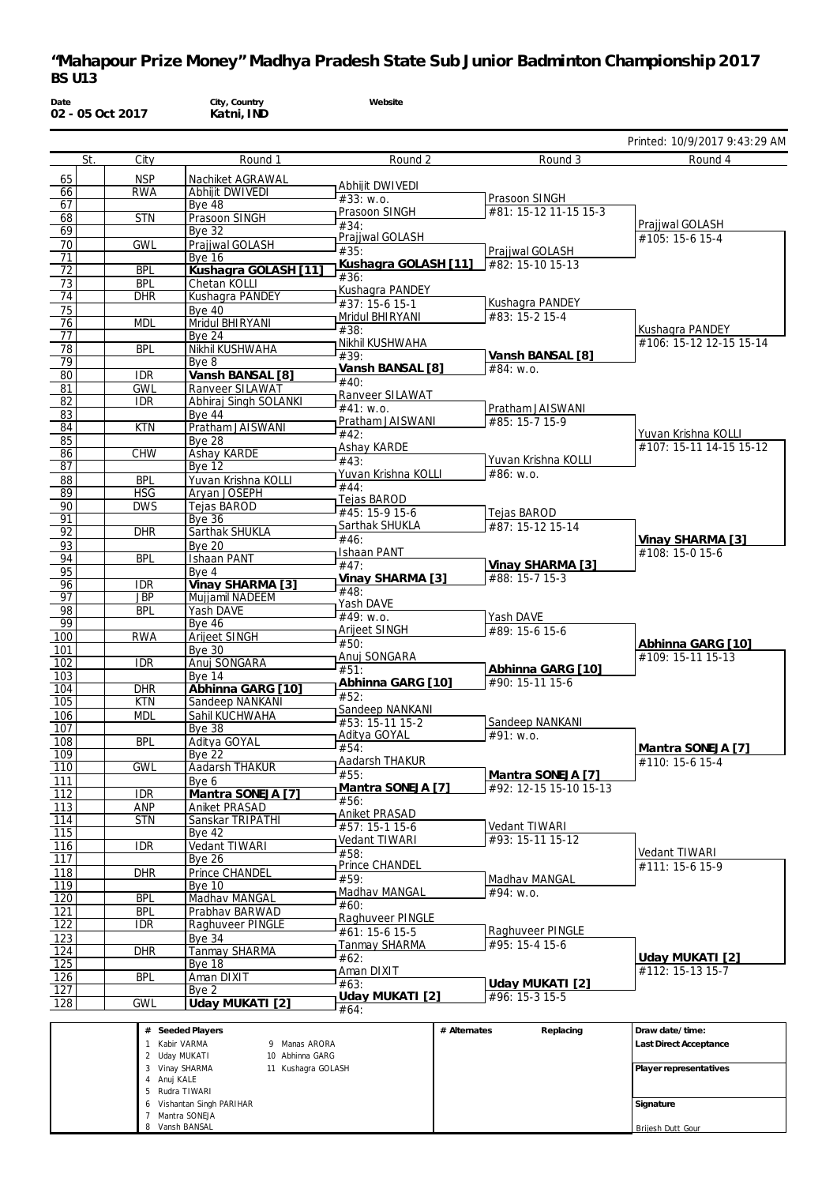| Date                  | 02 - 05 Oct 2017         |                                   | City, Country<br>Katni, IND         | Website                            |              |                                             |                                            |
|-----------------------|--------------------------|-----------------------------------|-------------------------------------|------------------------------------|--------------|---------------------------------------------|--------------------------------------------|
|                       |                          |                                   |                                     |                                    |              |                                             | Printed: 10/9/2017 9:43:29 AM              |
|                       | St.<br>City              |                                   | Round 1                             | Round 2                            |              | Round 3                                     | Round 4                                    |
| 65                    | <b>NSP</b>               |                                   | Nachiket AGRAWAL                    | Abhijit DWIVEDI                    |              |                                             |                                            |
| 66                    | <b>RWA</b>               |                                   | Abhijit DWIVEDI                     | #33: W.0.                          |              | Prasoon SINGH                               |                                            |
| 67                    | <b>STN</b>               |                                   | Bye 48                              | Prasoon SINGH                      |              | #81: 15-12 11-15 15-3                       |                                            |
| 68<br>69              |                          |                                   | Prasoon SINGH<br><b>Bye 32</b>      | #34:                               |              |                                             | Prajjwal GOLASH                            |
| 70                    | <b>GWL</b>               |                                   | Prajjwal GOLASH                     | Prajiwal GOLASH                    |              |                                             | #105: 15-6 15-4                            |
| 71                    |                          |                                   | <b>Bye 16</b>                       | #35:<br>Kushagra GOLASH [11]       |              | Prajjwal GOLASH<br>#82: 15-10 15-13         |                                            |
| 72                    | <b>BPL</b>               |                                   | Kushagra GOLASH [11]                | #36:                               |              |                                             |                                            |
| 73<br>74              | <b>BPL</b><br><b>DHR</b> |                                   | Chetan KOLLI<br>Kushaqra PANDEY     | Kushagra PANDEY                    |              |                                             |                                            |
| 75                    |                          |                                   | <b>Bye 40</b>                       | #37: 15-6 15-1                     |              | Kushagra PANDEY                             |                                            |
| 76                    | <b>MDL</b>               |                                   | Mridul BHIRYANI                     | Mridul BHIRYANI                    |              | #83: 15-2 15-4                              |                                            |
| $\overline{77}$       |                          |                                   | Bye $24$                            | #38:<br>Nikhil KUSHWAHA            |              |                                             | Kushagra PANDEY<br>#106: 15-12 12-15 15-14 |
| 78                    | <b>BPL</b>               |                                   | Nikhil KUSHWAHA                     | #39:                               |              | Vansh BANSAL [8]                            |                                            |
| $\overline{79}$<br>80 | IDR                      |                                   | Bye 8<br>Vansh BANSAL [8]           | Vansh BANSAL [8]                   |              | #84: w.o.                                   |                                            |
| 81                    | <b>GWL</b>               |                                   | <b>Ranveer SILAWAT</b>              | #40:                               |              |                                             |                                            |
| $\overline{82}$       | IDR                      |                                   | Abhiraj Singh SOLANKI               | Ranveer SILAWAT<br>#41: w.o.       |              |                                             |                                            |
| 83                    |                          |                                   | Bye $44$                            | Pratham JAISWANI                   |              | Pratham JAISWANI<br>#85: 15-7 15-9          |                                            |
| 84                    | <b>KTN</b>               |                                   | Pratham JAISWANI                    | #42:                               |              |                                             | Yuvan Krishna KOLLI                        |
| 85<br>86              | <b>CHW</b>               |                                   | <b>Bye 28</b><br><b>Ashay KARDE</b> | Ashay KARDE                        |              |                                             | #107: 15-11 14-15 15-12                    |
| 87                    |                          |                                   | <b>Bve 12</b>                       | #43:                               |              | Yuvan Krishna KOLLI                         |                                            |
| 88                    | <b>BPL</b>               |                                   | Yuvan Krishna KOLLI                 | Yuvan Krishna KOLLI<br>#44:        |              | #86: W.0.                                   |                                            |
| 89                    | <b>HSG</b>               |                                   | Aryan JOSEPH                        | Tejas BAROD                        |              |                                             |                                            |
| 90                    | <b>DWS</b>               |                                   | Tejas BAROD                         | #45: 15-9 15-6                     |              | Tejas BAROD                                 |                                            |
| 91<br>$\overline{92}$ | <b>DHR</b>               |                                   | <b>Bye 36</b><br>Sarthak SHUKLA     | Sarthak SHUKLA                     |              | #87: 15-12 15-14                            |                                            |
| 93                    |                          |                                   | <b>Bye 20</b>                       | #46:                               |              |                                             | Vinay SHARMA [3]                           |
| 94                    | <b>BPL</b>               |                                   | <b>Ishaan PANT</b>                  | Ishaan PANT<br>#47:                |              | Vinay SHARMA [3]                            | #108: 15-0 15-6                            |
| 95                    |                          |                                   | Bye 4                               | Vinay SHARMA [3]                   |              | #88: 15-7 15-3                              |                                            |
| 96<br>97              | IDR<br><b>JBP</b>        |                                   | Vinay SHARMA [3]<br>Mujjamil NADEEM | #48:                               |              |                                             |                                            |
| 98                    | <b>BPL</b>               |                                   | Yash DAVE                           | Yash DAVE                          |              |                                             |                                            |
| 99                    |                          |                                   | <b>Bye 46</b>                       | #49: w.o.<br>Arijeet SINGH         |              | Yash DAVE                                   |                                            |
| 100                   | <b>RWA</b>               |                                   | <b>Arijeet SINGH</b>                | #50:                               |              | #89: 15-6 15-6                              | Abhinna GARG [10]                          |
| 101                   |                          |                                   | <b>Bye 30</b>                       | Anuj SONGARA                       |              |                                             | #109: 15-11 15-13                          |
| 102<br>103            | IDR                      |                                   | Anuj SONGARA<br><b>Bye 14</b>       | #51:                               |              | Abhinna GARG [10]                           |                                            |
| 104                   | <b>DHR</b>               |                                   | Abhinna GARG [10]                   | Abhinna GARG [10]                  |              | #90: 15-11 15-6                             |                                            |
| 105                   | <b>KTN</b>               |                                   | Sandeep NANKANI                     | #52:<br>Sandeep NANKANI            |              |                                             |                                            |
| 106                   | <b>MDL</b>               |                                   | Sahil KUCHWAHA                      | #53: 15-11 15-2                    |              | Sandeep NANKANI                             |                                            |
| 107                   | <b>BPL</b>               |                                   | Bye 38<br>Aditya GOYAL              | Aditya GOYAL                       |              | $\overline{\#}91$ : w.o.                    |                                            |
| 108<br>109            |                          |                                   | <b>Bye 22</b>                       | #54:                               |              |                                             | Mantra SONEJA [7]                          |
| 110                   | <b>GWL</b>               |                                   | <b>Aadarsh THAKUR</b>               | Aadarsh THAKUR<br>#55:             |              |                                             | #110: 15-6 15-4                            |
| 111                   |                          |                                   | Bye 6                               | Mantra SONEJA [7]                  |              | Mantra SONEJA [7]<br>#92: 12-15 15-10 15-13 |                                            |
| $\overline{112}$      |                          | IDR.                              | Mantra SONEJA [7]                   | #56:                               |              |                                             |                                            |
| 113<br>114            | ANP<br><b>STN</b>        |                                   | Aniket PRASAD<br>Sanskar TRIPATHI   | Aniket PRASAD                      |              |                                             |                                            |
| 115                   |                          |                                   | <b>Bye 42</b>                       | #57: 15-1 15-6                     |              | Vedant TIWARI                               |                                            |
| 116                   | IDR                      |                                   | Vedant TIWARI                       | Vedant TIWARI                      |              | #93: 15-11 15-12                            | Vedant TIWARI                              |
| 117                   |                          |                                   | <b>Bye 26</b>                       | #58:<br>Prince CHANDEL             |              |                                             | #111: 15-6 15-9                            |
| 118                   | <b>DHR</b>               |                                   | Prince CHANDEL                      | #59:                               |              | Madhav MANGAL                               |                                            |
| 119<br>120            | <b>BPL</b>               |                                   | <b>Bye 10</b><br>Madhav MANGAL      | Madhav MANGAL                      |              | #94: w.o.                                   |                                            |
| 121                   | <b>BPL</b>               |                                   | Prabhav BARWAD                      | #60:                               |              |                                             |                                            |
| 122                   | IDR.                     |                                   | Raghuveer PINGLE                    | Raghuveer PINGLE<br>#61: 15-6 15-5 |              | Raghuveer PINGLE                            |                                            |
| 123                   |                          |                                   | <b>Bye 34</b>                       | Tanmay SHARMA                      |              | #95: 15-4 15-6                              |                                            |
| 124                   | <b>DHR</b>               |                                   | Tanmay SHARMA                       | #62:                               |              |                                             | Uday MUKATI [2]                            |
| 125<br>126            | <b>BPL</b>               |                                   | <b>Bye 18</b><br>Aman DIXIT         | Aman DIXIT                         |              |                                             | #112: 15-13 15-7                           |
| 127                   |                          |                                   | Bye 2                               | #63:                               |              | Uday MUKATI [2]                             |                                            |
| 128                   | <b>GWL</b>               |                                   | Uday MUKATI [2]                     | Uday MUKATI [2]<br>#64:            |              | #96: 15-3 15-5                              |                                            |
|                       |                          |                                   |                                     |                                    |              |                                             |                                            |
|                       |                          | # Seeded Players<br>1 Kabir VARMA | 9 Manas ARORA                       |                                    | # Alternates | Replacing                                   | Draw date/time:                            |
|                       |                          | 2 Uday MUKATI                     | 10 Abhinna GARG                     |                                    |              |                                             | Last Direct Acceptance                     |

**Player representatives**

**Signature**

Brijesh Dutt Gour

 Vinay SHARMA Anuj KALE Rudra TIWARI Vishantan Singh PARIHAR Mantra SONEJA Vansh BANSAL

11 Kushagra GOLASH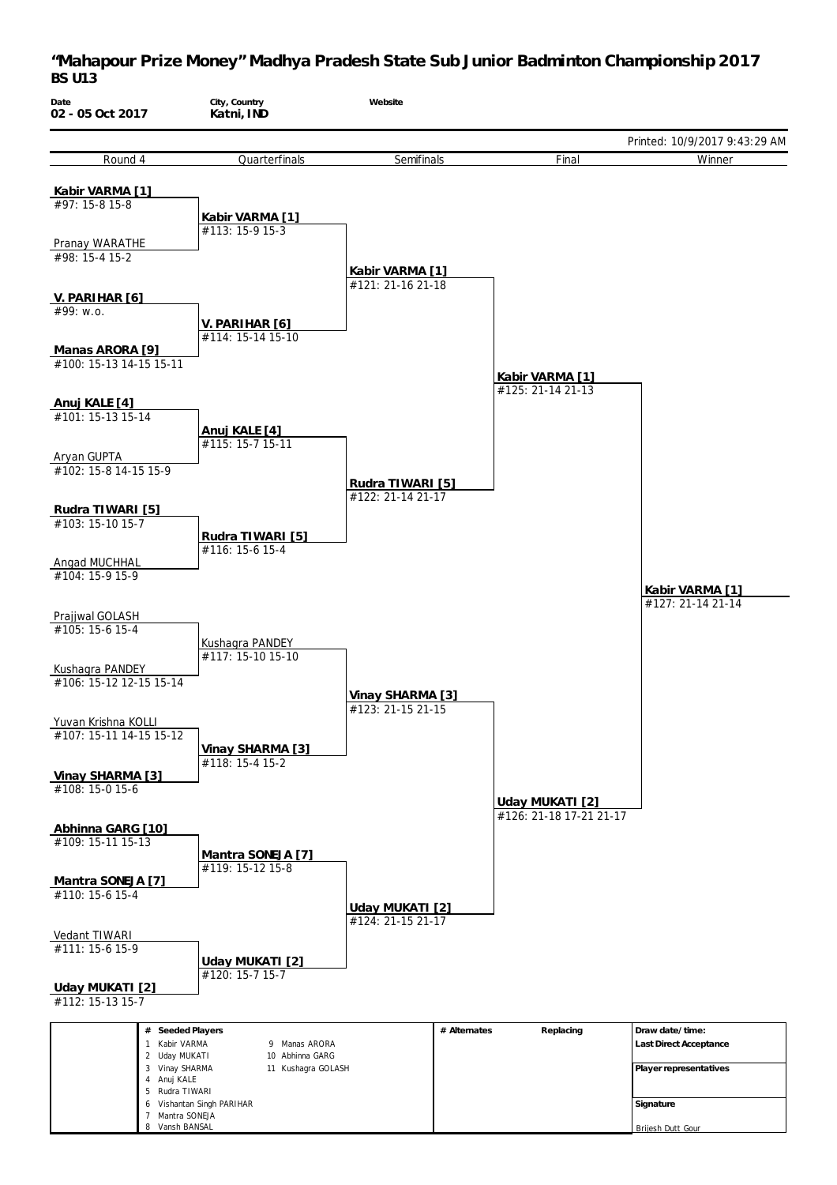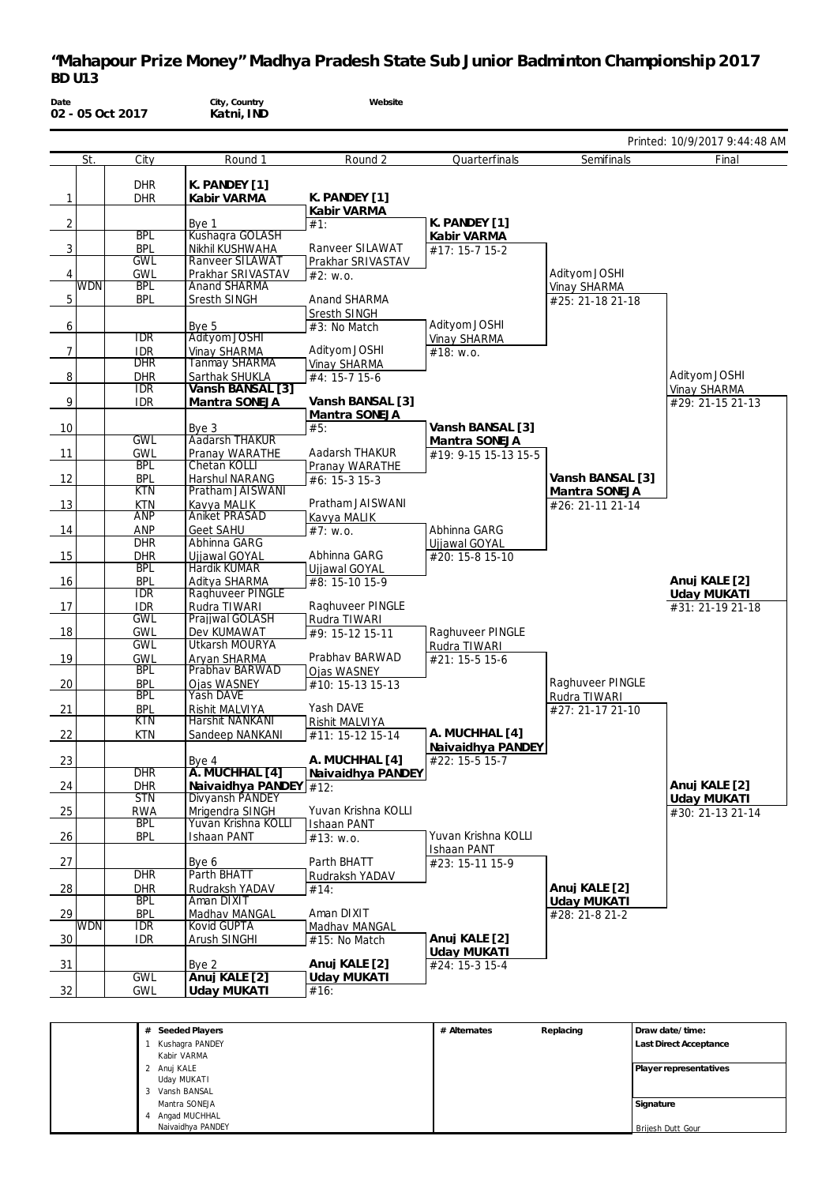| Date           |            | 02 - 05 Oct 2017         | City, Country<br>Katni, IND                  | Website                              |                                |                  |                                 |
|----------------|------------|--------------------------|----------------------------------------------|--------------------------------------|--------------------------------|------------------|---------------------------------|
|                |            |                          |                                              |                                      |                                |                  | Printed: 10/9/2017 9:44:48 AM   |
|                | St.        | $\overline{C}$ ity       | Round 1                                      | Round 2                              | Quarterfinals                  | Semifinals       | Final                           |
|                |            |                          |                                              |                                      |                                |                  |                                 |
| $\mathbf{1}$   |            | <b>DHR</b><br><b>DHR</b> | K. PANDEY [1]<br>Kabir VARMA                 | K. PANDEY [1]                        |                                |                  |                                 |
|                |            |                          |                                              | Kabir VARMA                          |                                |                  |                                 |
| $\overline{2}$ |            |                          | Bye 1                                        | #1:                                  | K. PANDEY [1]                  |                  |                                 |
|                |            | <b>BPL</b>               | Kushagra GOLASH                              |                                      | Kabir VARMA                    |                  |                                 |
| 3              |            | <b>BPL</b><br><b>GWL</b> | Nikhil KUSHWAHA<br><b>Ranveer SILAWAT</b>    | Ranveer SILAWAT<br>Prakhar SRIVASTAV | #17: 15-7 15-2                 |                  |                                 |
| 4              |            | <b>GWL</b>               | Prakhar SRIVASTAV                            | #2: w.o.                             |                                | Adityom JOSHI    |                                 |
|                | <b>WDN</b> | <b>BPL</b>               | <b>Anand SHARMA</b>                          |                                      |                                | Vinay SHARMA     |                                 |
| 5              |            | <b>BPL</b>               | Sresth SINGH                                 | Anand SHARMA                         |                                | #25: 21-18 21-18 |                                 |
|                |            |                          |                                              | Sresth SINGH                         |                                |                  |                                 |
| 6              |            | IDR                      | Bye 5<br>Adityom JOSHI                       | #3: No Match                         | Adityom JOSHI                  |                  |                                 |
| 7              |            | <b>IDR</b>               | Vinay SHARMA                                 | Adityom JOSHI                        | Vinay SHARMA<br>#18: w.o.      |                  |                                 |
|                |            | <b>DHR</b>               | <b>Tanmay SHARMA</b>                         | Vinay SHARMA                         |                                |                  |                                 |
| 8              |            | <b>DHR</b>               | Sarthak SHUKLA                               | #4: 15-7 15-6                        |                                |                  | Adityom JOSHI                   |
|                |            | <b>IDR</b>               | Vansh BANSAL [3]                             |                                      |                                |                  | Vinay SHARMA                    |
| 9              |            | <b>IDR</b>               | Mantra SONEJA                                | Vansh BANSAL [3]                     |                                |                  | #29: 21-15 21-13                |
| 10             |            |                          |                                              | Mantra SONEJA<br>#5:                 | Vansh BANSAL [3]               |                  |                                 |
|                |            | <b>GWL</b>               | Bye 3<br><b>Aadarsh THAKUR</b>               |                                      | Mantra SONEJA                  |                  |                                 |
| 11             |            | <b>GWL</b>               | Pranay WARATHE                               | Aadarsh THAKUR                       | #19: 9-15 15-13 15-5           |                  |                                 |
|                |            | <b>BPL</b>               | Chetan KOLLI                                 | Pranay WARATHE                       |                                |                  |                                 |
| 12             |            | <b>BPL</b>               | Harshul NARANG                               | $#6: 15-315-3$                       |                                | Vansh BANSAL [3] |                                 |
| 13             |            | <b>KTN</b><br><b>KTN</b> | Pratham JAISWANI<br>Kavya MALIK              | Pratham JAISWANI                     |                                | Mantra SONEJA    |                                 |
|                |            | <b>ANP</b>               | <b>Aniket PRASAD</b>                         | Kavya MALIK                          |                                | #26: 21-11 21-14 |                                 |
| 14             |            | ANP                      | Geet SAHU                                    | #7: W.0.                             | Abhinna GARG                   |                  |                                 |
|                |            | <b>DHR</b>               | Abhinna GARG                                 |                                      | Ujjawal GOYAL                  |                  |                                 |
| 15             |            | <b>DHR</b>               | Ujjawal GOYAL                                | Abhinna GARG                         | #20: 15-8 15-10                |                  |                                 |
|                |            | <b>BPL</b><br><b>BPL</b> | Hardik KUMAR<br>Aditya SHARMA                | Ujjawal GOYAL<br>#8: 15-10 15-9      |                                |                  | Anuj KALE [2]                   |
| 16             |            | <b>IDR</b>               | Raghuveer PINGLE                             |                                      |                                |                  | Uday MUKATI                     |
| 17             |            | <b>IDR</b>               | Rudra TIWARI                                 | Raghuveer PINGLE                     |                                |                  | #31: 21-19 21-18                |
|                |            | <b>GWL</b>               | Prajjwal GOLASH                              | Rudra TIWARI                         |                                |                  |                                 |
| 18             |            | GWL                      | Dev KUMAWAT                                  | #9: 15-12 15-11                      | Raghuveer PINGLE               |                  |                                 |
| 19             |            | <b>GWL</b><br>GWL        | <b>Utkarsh MOURYA</b><br>Aryan SHARMA        | Prabhav BARWAD                       | Rudra TIWARI<br>#21: 15-5 15-6 |                  |                                 |
|                |            | <b>BPL</b>               | Prabhav BARWAD                               | <b>Ojas WASNEY</b>                   |                                |                  |                                 |
| 20             |            | <b>BPL</b>               | Ojas WASNEY                                  | #10: 15-13 15-13                     |                                | Raghuveer PINGLE |                                 |
|                |            | <b>BPL</b>               | Yash DAVE                                    |                                      |                                | Rudra TIWARI     |                                 |
| 21             |            | <b>BPL</b><br>KTN        | Rishit MALVIYA<br>Harshit NANKANI            | Yash DAVE                            |                                | #27: 21-17 21-10 |                                 |
| 22             |            | KTN                      | Sandeep NANKANI                              | Rishit MALVIYA<br>#11: 15-12 15-14   | A. MUCHHAL [4]                 |                  |                                 |
|                |            |                          |                                              |                                      | Naivaidhya PANDEY              |                  |                                 |
| 23             |            |                          | Bye 4                                        | A. MUCHHAL [4]                       | #22: 15-5 15-7                 |                  |                                 |
|                |            | <b>DHR</b>               | A. MUCHHAL [4]                               | Naivaidhya PANDEY                    |                                |                  |                                 |
| 24             |            | <b>DHR</b><br><b>STN</b> | Naivaidhya PANDEY $#12$ :<br>Divyansh PANDEY |                                      |                                |                  | Anuj KALE [2]                   |
| 25             |            | <b>RWA</b>               | Mrigendra SINGH                              | Yuvan Krishna KOLLI                  |                                |                  | Uday MUKATI<br>#30: 21-13 21-14 |
|                |            | <b>BPL</b>               | Yuvan Krishna KOLLI                          | Ishaan PANT                          |                                |                  |                                 |
| 26             |            | <b>BPL</b>               | Ishaan PANT                                  | #13: w.o.                            | Yuvan Krishna KOLLI            |                  |                                 |
|                |            |                          |                                              |                                      | Ishaan PANT                    |                  |                                 |
| 27             |            | <b>DHR</b>               | Bye 6<br>Parth BHATT                         | Parth BHATT                          | #23: 15-11 15-9                |                  |                                 |
| $\frac{28}{ }$ |            | <b>DHR</b>               | Rudraksh YADAV                               | Rudraksh YADAV<br>#14:               |                                | Anuj KALE [2]    |                                 |
|                |            | <b>BPL</b>               | Aman DIXIT                                   |                                      |                                | Uday MUKATI      |                                 |
| $\frac{29}{2}$ |            | <b>BPL</b>               | Madhav MANGAL                                | Aman DIXIT                           |                                | #28: 21-8 21-2   |                                 |
|                | <b>WDN</b> | <b>IDR</b>               | <b>Kovid GUPTA</b>                           | Madhav MANGAL                        |                                |                  |                                 |
| 30             |            | <b>IDR</b>               | Arush SINGHI                                 | #15: No Match                        | Anuj KALE [2]                  |                  |                                 |
| $\frac{31}{2}$ |            |                          | Bye 2                                        | Anuj KALE [2]                        | Uday MUKATI<br>#24: 15-3 15-4  |                  |                                 |
|                |            | <b>GWL</b>               | Anuj KALE [2]                                | Uday MUKATI                          |                                |                  |                                 |
| 32             |            | <b>GWL</b>               | Uday MUKATI                                  | #16:                                 |                                |                  |                                 |
|                |            |                          |                                              |                                      |                                |                  |                                 |

| # Seeded Players  | # Alternates | Replacing | Draw date/time:        |
|-------------------|--------------|-----------|------------------------|
| Kushagra PANDEY   |              |           | Last Direct Acceptance |
| Kabir VARMA       |              |           |                        |
| 2 Anuj KALE       |              |           | Player representatives |
| Uday MUKATI       |              |           |                        |
| 3 Vansh BANSAL    |              |           |                        |
| Mantra SONEJA     |              |           | Signature              |
| 4 Angad MUCHHAL   |              |           |                        |
| Naivaidhya PANDEY |              |           | Brijesh Dutt Gour      |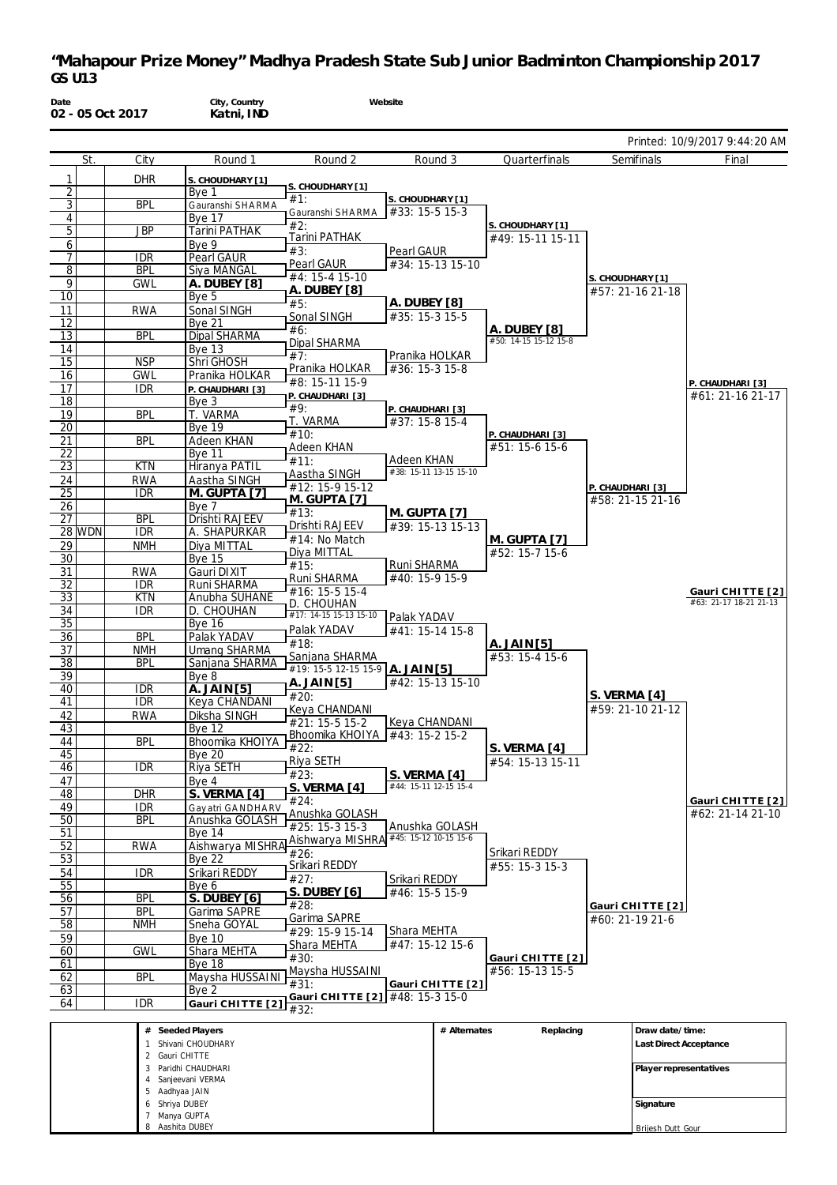| Date                  |        | 02 - 05 Oct 2017         | City, Country<br>Katni, IND           |                                         | Website                               |                       |                  |                                            |
|-----------------------|--------|--------------------------|---------------------------------------|-----------------------------------------|---------------------------------------|-----------------------|------------------|--------------------------------------------|
|                       |        |                          |                                       |                                         |                                       |                       |                  | Printed: 10/9/2017 9:44:20 AM              |
|                       | St.    | City                     | Round 1                               | Round 2                                 | Round 3                               | Quarterfinals         | Semifinals       | Final                                      |
| $\mathbf{1}$          |        | <b>DHR</b>               | S. CHOUDHARY [1]                      |                                         |                                       |                       |                  |                                            |
| 2                     |        |                          | Bye 1                                 | S. CHOUDHARY [1]<br>#1:                 |                                       |                       |                  |                                            |
| 3                     |        | <b>BPL</b>               | Gauranshi SHARMA                      | Gauranshi SHARMA                        | S. CHOUDHARY [1]<br>#33: 15-5 15-3    |                       |                  |                                            |
| 4                     |        |                          | <b>Bye 17</b>                         | #2:                                     |                                       | S. CHOUDHARY [1]      |                  |                                            |
| 5                     |        | JBP                      | <b>Tarini PATHAK</b>                  | Tarini PATHAK                           |                                       | #49: 15-11 15-11      |                  |                                            |
| 6<br>7                |        | <b>IDR</b>               | Bve 9<br><b>Pearl GAUR</b>            | #3:                                     | Pearl GAUR                            |                       |                  |                                            |
| 8                     |        | <b>BPL</b>               | Siya MANGAL                           | Pearl GAUR                              | #34: 15-13 15-10                      |                       |                  |                                            |
| 9                     |        | <b>GWL</b>               | A. DUBEY [8]                          | #4: 15-4 15-10                          |                                       |                       | S. CHOUDHARY [1] |                                            |
| 10                    |        |                          | Bye 5                                 | A. DUBEY [8]<br>#5:                     | A. DUBEY [8]                          |                       | #57: 21-16 21-18 |                                            |
| 11                    |        | <b>RWA</b>               | Sonal SINGH                           | Sonal SINGH                             | #35: 15-3 15-5                        |                       |                  |                                            |
| 12                    |        |                          | <b>Bye 21</b>                         | #6:                                     |                                       | A. DUBEY [8]          |                  |                                            |
| 13                    |        | <b>BPL</b>               | Dipal SHARMA                          | Dipal SHARMA                            |                                       | #50: 14-15 15-12 15-8 |                  |                                            |
| 14<br>15              |        | <b>NSP</b>               | <b>Bye 13</b><br>Shri GHOSH           | #7:                                     | Pranika HOLKAR                        |                       |                  |                                            |
| 16                    |        | <b>GWL</b>               | Pranika HOLKAR                        | Pranika HOLKAR                          | #36: 15-3 15-8                        |                       |                  |                                            |
| 17                    |        | <b>IDR</b>               | P. CHAUDHARI [3]                      | #8: 15-11 15-9                          |                                       |                       |                  | P. CHAUDHARI [3]                           |
| 18                    |        |                          | Bye 3                                 | P. CHAUDHARI [3]<br>#9:                 |                                       |                       |                  | #61: 21-16 21-17                           |
| 19                    |        | <b>BPL</b>               | T. VARMA                              | T. VARMA                                | P. CHAUDHARI [3]<br>#37: 15-8 15-4    |                       |                  |                                            |
| 20                    |        |                          | <b>Bye 19</b>                         | #10:                                    |                                       | P. CHAUDHARI [3]      |                  |                                            |
| 21                    |        | <b>BPL</b>               | Adeen KHAN                            | Adeen KHAN                              |                                       | #51: 15-6 15-6        |                  |                                            |
| 22<br>$\overline{23}$ |        | <b>KTN</b>               | <b>Bye 11</b><br>Hiranya PATIL        | #11:                                    | Adeen KHAN                            |                       |                  |                                            |
| 24                    |        | <b>RWA</b>               | Aastha SINGH                          | Aastha SINGH                            | #38: 15-11 13-15 15-10                |                       |                  |                                            |
| 25                    |        | <b>IDR</b>               | M. GUPTA [7]                          | #12: 15-9 15-12                         |                                       |                       | P. CHAUDHARI [3] |                                            |
| 26                    |        |                          | Bye 7                                 | M. GUPTA [7]<br>#13:                    | M. GUPTA [7]                          |                       | #58: 21-15 21-16 |                                            |
| $\overline{27}$       |        | <b>BPL</b>               | Drishti RAJEEV                        | Drishti RAJEEV                          | #39: 15-13 15-13                      |                       |                  |                                            |
|                       | 28 WDN | <b>IDR</b>               | A. SHAPURKAR                          | #14: No Match                           |                                       | M. GUPTA [7]          |                  |                                            |
| 29<br>30              |        | <b>NMH</b>               | Diya MITTAL<br><b>Bye 15</b>          | Diya MITTAL                             |                                       | #52: 15-7 15-6        |                  |                                            |
| 31                    |        | <b>RWA</b>               | Gauri DIXIT                           | #15:                                    | Runi SHARMA                           |                       |                  |                                            |
| $\overline{32}$       |        | <b>IDR</b>               | Runi SHARMA                           | Runi SHARMA                             | #40: 15-9 15-9                        |                       |                  |                                            |
| 33                    |        | <b>KTN</b>               | Anubha SUHANE                         | #16: 15-5 15-4<br>D. CHOUHAN            |                                       |                       |                  | Gauri CHITTE [2]<br>#63: 21-17 18-21 21-13 |
| 34                    |        | <b>IDR</b>               | D. CHOUHAN                            | #17: 14-15 15-13 15-10                  | Palak YADAV                           |                       |                  |                                            |
| 35                    |        |                          | <b>Bye 16</b>                         | Palak YADAV                             | #41: 15-14 15-8                       |                       |                  |                                            |
| 36                    |        | <b>BPL</b>               | Palak YADAV                           | #18:                                    |                                       | A. JAIN [5]           |                  |                                            |
| 37<br>38              |        | <b>NMH</b><br><b>BPL</b> | <b>Umang SHARMA</b><br>Sanjana SHARMA | Sanjana SHARMA                          |                                       | #53: 15-4 15-6        |                  |                                            |
| 39                    |        |                          | Bye 8                                 | #19: 15-5 12-15 15-9 A. JAIN [5]        |                                       |                       |                  |                                            |
| 40                    |        | <b>IDR</b>               | A. JAIN [5]                           | $A.$ JAIN [5]                           | #42: 15-13 15-10                      |                       | S. VERMA [4]     |                                            |
| 41                    |        | <b>IDR</b>               | Keya CHANDANI                         | #20:<br>Keya CHANDANI                   |                                       |                       | #59: 21-10 21-12 |                                            |
| 42                    |        | <b>RWA</b>               | Diksha SINGH                          | #21: 15-5 15-2                          | Keya CHANDANI                         |                       |                  |                                            |
| 43                    |        |                          | <b>Bye 12</b>                         | Bhoomika KHOIYA 443: 15-2 15-2          |                                       |                       |                  |                                            |
| 44<br>45              |        | <b>BPL</b>               | Bhoomika KHOIYA<br><b>Bye 20</b>      | #22:                                    |                                       | S. VERMA [4]          |                  |                                            |
| 46                    |        | <b>IDR</b>               | Riya SETH                             | Riya SETH                               |                                       | #54: 15-13 15-11      |                  |                                            |
| 47                    |        |                          | Bye 4                                 | #23:                                    | S. VERMA [4]<br>#44: 15-11 12-15 15-4 |                       |                  |                                            |
| 48                    |        | <b>DHR</b>               | S. VERMA [4]                          | S. VERMA [4]<br>#24:                    |                                       |                       |                  | Gauri CHITTE [2]                           |
| 49                    |        | <b>IDR</b>               | Gay atri GANDHARV                     | Anushka GOLASH                          |                                       |                       |                  | #62: 21-14 21-10                           |
| 50                    |        | <b>BPL</b>               | Anushka GOLASH                        | #25: 15-3 15-3                          | Anushka GOLASH                        |                       |                  |                                            |
| 51<br>52              |        | <b>RWA</b>               | <b>Bye 14</b><br>Aishwarya MISHRA     | Aishwarya MISHRA #45: 15-12 10-15 15-6  |                                       |                       |                  |                                            |
| 53                    |        |                          | <b>Bye 22</b>                         | #26:                                    |                                       | Srikari REDDY         |                  |                                            |
| 54                    |        | <b>IDR</b>               | Srikari REDDY                         | Srikari REDDY                           |                                       | #55: 15-3 15-3        |                  |                                            |
| 55                    |        |                          | Bye 6                                 | #27:<br><b>S. DUBEY [6]</b>             | Srikari REDDY<br>#46: 15-5 15-9       |                       |                  |                                            |
| 56                    |        | <b>BPL</b>               | <b>S. DUBEY [6]</b>                   | #28:                                    |                                       |                       | Gauri CHITTE [2] |                                            |
| 57                    |        | <b>BPL</b>               | Garima SAPRE                          | Garima SAPRE                            |                                       |                       | #60: 21-19 21-6  |                                            |
| 58                    |        | <b>NMH</b>               | Sneha GOYAL                           | #29: 15-9 15-14                         | Shara MEHTA                           |                       |                  |                                            |
| 59<br>60              |        | <b>GWL</b>               | <b>Bye 10</b><br>Shara MEHTA          | Shara MEHTA                             | #47: 15-12 15-6                       |                       |                  |                                            |
| 61                    |        |                          | Bye 18                                | #30:                                    |                                       | Gauri CHITTE [2]      |                  |                                            |
| 62                    |        | <b>BPL</b>               | Maysha HUSSAINI                       | Maysha HUSSAINI                         |                                       | #56: 15-13 15-5       |                  |                                            |
| 63                    |        |                          | Bye $2$                               | #31:<br>Gauri CHITTE [2] #48: 15-3 15-0 | Gauri CHITTE [2]                      |                       |                  |                                            |
| 64                    |        | <b>IDR</b>               | Gauri CHITTE <sup>[2]</sup>           | #32:                                    |                                       |                       |                  |                                            |

| # Seeded Players    | # Alternates | Replacing | Draw date/time:               |
|---------------------|--------------|-----------|-------------------------------|
| Shivani CHOUDHARY   |              |           | <b>Last Direct Acceptance</b> |
| 2 Gauri CHITTE      |              |           |                               |
| 3 Paridhi CHAUDHARI |              |           | Player representatives        |
| Sanjeevani VERMA    |              |           |                               |
| 5 Aadhyaa JAIN      |              |           |                               |
| 6 Shriya DUBEY      |              |           | Signature                     |
| Manya GUPTA         |              |           |                               |
| 8 Aashita DUBEY     |              |           | Brijesh Dutt Gour             |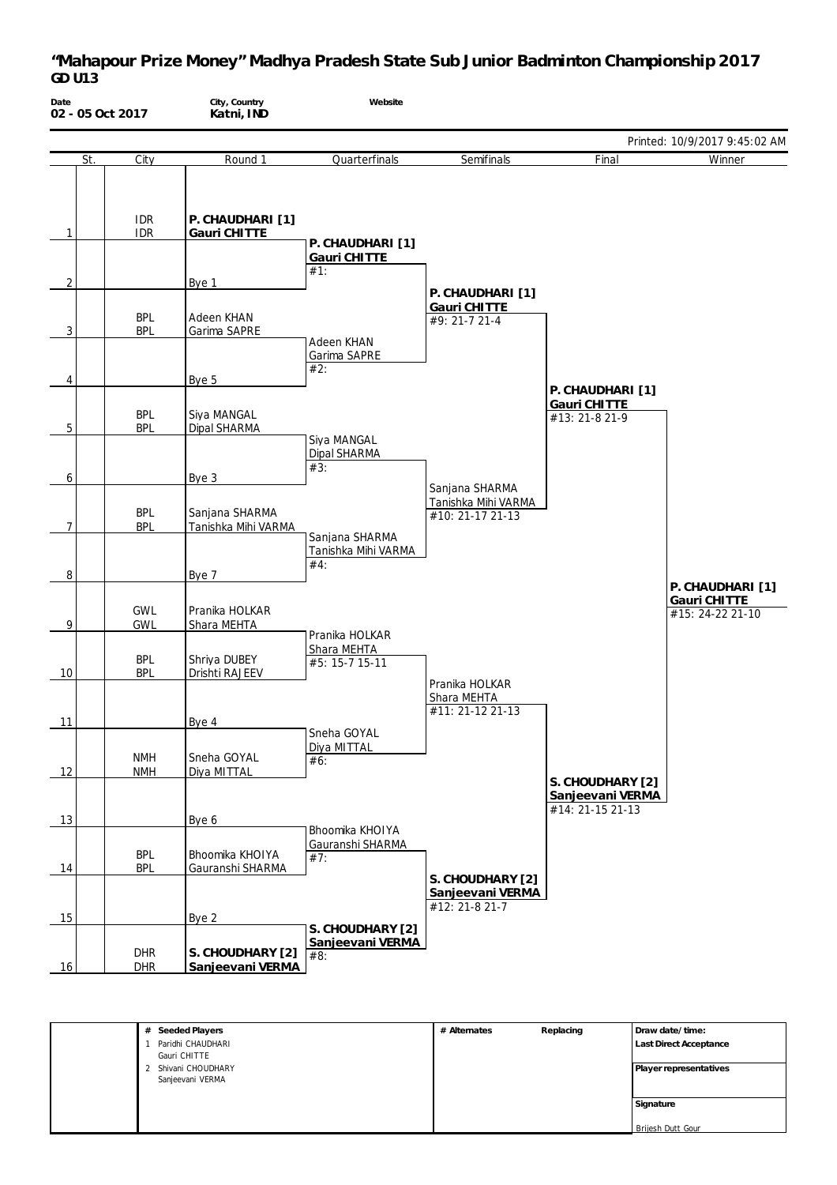| Date           | 02 - 05 Oct 2017         | City, Country<br>Katni, IND           | Website                                      |                                                           |                                                          |                                                      |
|----------------|--------------------------|---------------------------------------|----------------------------------------------|-----------------------------------------------------------|----------------------------------------------------------|------------------------------------------------------|
|                |                          |                                       |                                              |                                                           |                                                          | Printed: 10/9/2017 9:45:02 AM                        |
| St.            | City                     | Round 1                               | Quarterfinals                                | Semifinals                                                | Final                                                    | Winner                                               |
| $\mathbf{1}$   | <b>IDR</b><br><b>IDR</b> | P. CHAUDHARI [1]<br>Gauri CHITTE      | P. CHAUDHARI [1]                             |                                                           |                                                          |                                                      |
|                |                          |                                       | Gauri CHITTE                                 |                                                           |                                                          |                                                      |
| $\overline{2}$ |                          | Bye 1                                 | #1:                                          |                                                           |                                                          |                                                      |
|                |                          |                                       |                                              | P. CHAUDHARI [1]                                          |                                                          |                                                      |
| 3              | <b>BPL</b><br><b>BPL</b> | Adeen KHAN<br>Garima SAPRE            |                                              | Gauri CHITTE<br>#9: 21-7 21-4                             |                                                          |                                                      |
| 4              |                          | Bye 5                                 | Adeen KHAN<br>Garima SAPRE<br>#2:            |                                                           | P. CHAUDHARI [1]                                         |                                                      |
| 5              | <b>BPL</b><br><b>BPL</b> | Siya MANGAL<br>Dipal SHARMA           |                                              |                                                           | Gauri CHITTE<br>#13: 21-8 21-9                           |                                                      |
| 6              |                          | Bye 3                                 | Siva MANGAL<br>Dipal SHARMA<br>#3:           |                                                           |                                                          |                                                      |
| 7              | <b>BPL</b><br><b>BPL</b> | Sanjana SHARMA<br>Tanishka Mihi VARMA |                                              | Sanjana SHARMA<br>Tanishka Mihi VARMA<br>#10: 21-17 21-13 |                                                          |                                                      |
| 8              |                          | Bye 7                                 | Sanjana SHARMA<br>Tanishka Mihi VARMA<br>#4: |                                                           |                                                          |                                                      |
| 9              | <b>GWL</b><br><b>GWL</b> | Pranika HOLKAR<br>Shara MEHTA         | Pranika HOLKAR                               |                                                           |                                                          | P. CHAUDHARI [1]<br>Gauri CHITTE<br>#15: 24-22 21-10 |
| 10             | <b>BPL</b><br><b>BPL</b> | Shriya DUBEY<br>Drishti RAJEEV        | Shara MEHTA<br>#5: 15-7 15-11                |                                                           |                                                          |                                                      |
| 11             |                          | Bye 4                                 |                                              | Pranika HOLKAR<br>Shara MEHTA<br>#11: 21-12 21-13         |                                                          |                                                      |
|                | <b>NMH</b>               | Sneha GOYAL                           | Sneha GOYAL<br>Diya MITTAL<br>#6:            |                                                           |                                                          |                                                      |
| 12             | <b>NMH</b>               | Diya MITTAL                           |                                              |                                                           | S. CHOUDHARY [2]<br>Sanjeevani VERMA<br>#14: 21-15 21-13 |                                                      |
| 13             |                          | Bye 6                                 | Bhoomika KHOIYA                              |                                                           |                                                          |                                                      |
| 14             | <b>BPL</b><br><b>BPL</b> | Bhoomika KHOIYA<br>Gauranshi SHARMA   | Gauranshi SHARMA<br>#7:                      |                                                           |                                                          |                                                      |
| 15             |                          | Bye 2                                 |                                              | S. CHOUDHARY [2]<br>Sanjeevani VERMA<br>#12: 21-8 21-7    |                                                          |                                                      |
| 16             | <b>DHR</b><br><b>DHR</b> | S. CHOUDHARY [2]<br>Sanjeevani VERMA  | S. CHOUDHARY [2]<br>Sanjeevani VERMA<br>#8:  |                                                           |                                                          |                                                      |

| # Seeded Players    | # Alternates | Replacing | Draw date/time:        |
|---------------------|--------------|-----------|------------------------|
| Paridhi CHAUDHARI   |              |           | Last Direct Acceptance |
| Gauri CHITTE        |              |           |                        |
| 2 Shivani CHOUDHARY |              |           | Player representatives |
| Sanjeevani VERMA    |              |           |                        |
|                     |              |           |                        |
|                     |              |           | Signature              |
|                     |              |           |                        |
|                     |              |           | Brijesh Dutt Gour      |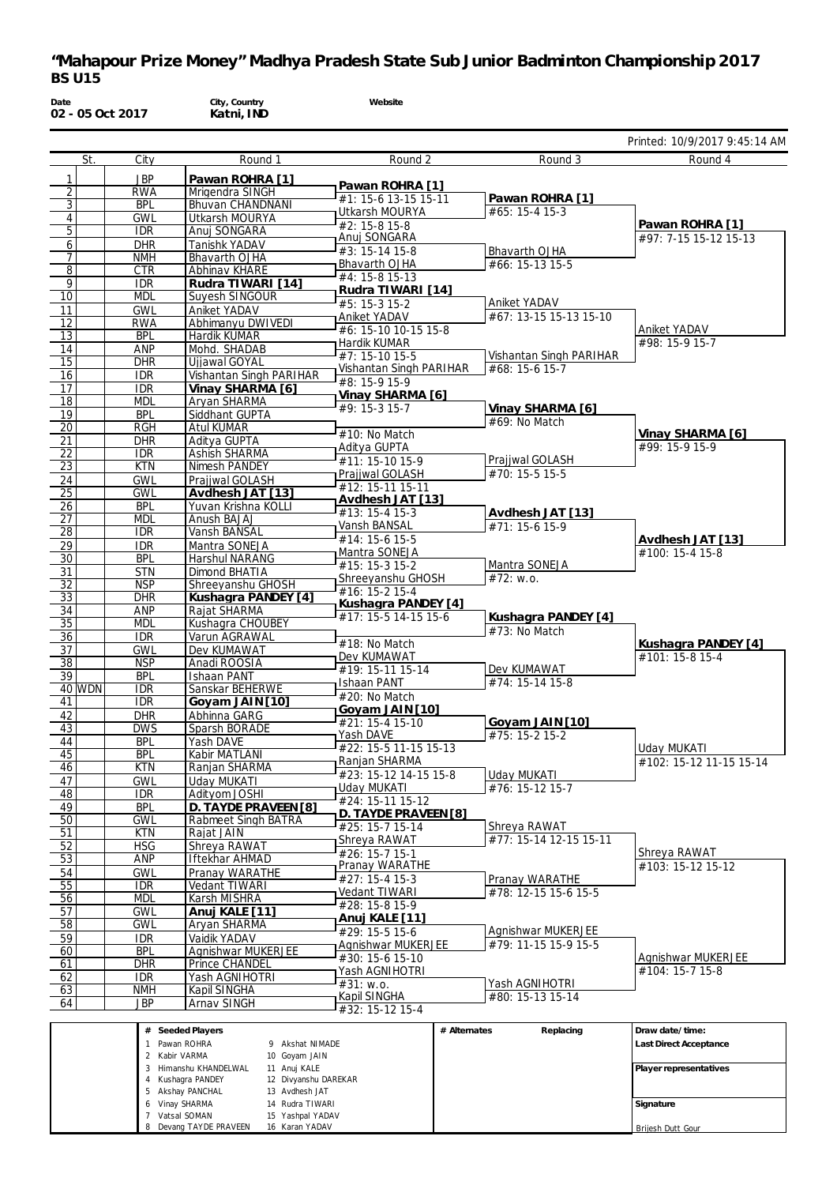| St.             | City                     | Round 1                                 | Round 2                                  | Round 3                                | Printed: 10/9/2017 9:45:14 AM<br>Round 4 |
|-----------------|--------------------------|-----------------------------------------|------------------------------------------|----------------------------------------|------------------------------------------|
|                 |                          |                                         |                                          |                                        |                                          |
| 1<br>2          | <b>JBP</b><br><b>RWA</b> | Pawan ROHRA [1]<br>Mrigendra SINGH      | Pawan ROHRA [1]                          |                                        |                                          |
| $\overline{3}$  | <b>BPL</b>               | Bhuvan CHANDNANI                        | #1: 15-6 13-15 15-11                     | Pawan ROHRA [1]                        |                                          |
| 4               | <b>GWL</b>               | Utkarsh MOURYA                          | Utkarsh MOURYA                           | #65: 15-4 15-3                         | Pawan ROHRA [1]                          |
| 5               | <b>IDR</b>               | Anuj SONGARA                            | #2: 15-8 15-8<br>Anuj SONGARA            |                                        | #97: 7-15 15-12 15-13                    |
| 6               | <b>DHR</b><br><b>NMH</b> | Tanishk YADAV<br><b>Bhavarth OJHA</b>   | #3: 15-14 15-8                           | Bhavarth OJHA                          |                                          |
| 8               | <b>CTR</b>               | Abhinav KHARE                           | Bhavarth OJHA                            | #66: 15-13 15-5                        |                                          |
| 9               | <b>IDR</b>               | Rudra TIWARI [14]                       | #4: 15-8 15-13                           |                                        |                                          |
| 10              | <b>MDL</b>               | Suyesh SINGOUR                          | Rudra TIWARI [14]<br>#5: 15-3 15-2       | Aniket YADAV                           |                                          |
| 11              | <b>GWL</b>               | Aniket YADAV                            | Aniket YADAV                             | #67: 13-15 15-13 15-10                 |                                          |
| 12<br>13        | <b>RWA</b><br><b>BPL</b> | Abhimanyu DWIVEDI<br>Hardik KUMAR       | #6: 15-10 10-15 15-8                     |                                        | Aniket YADAV                             |
| 14              | ANP                      | Mohd. SHADAB                            | Hardik KUMAR                             |                                        | #98: 15-9 15-7                           |
| 15              | <b>DHR</b>               | Ujjawal GOYAL                           | #7: 15-10 15-5                           | Vishantan Singh PARIHAR                |                                          |
| 16              | <b>IDR</b>               | Vishantan Singh PARIHAR                 | Vishantan Singh PARIHAR<br>#8: 15-9 15-9 | #68: 15-6 15-7                         |                                          |
| 17              | <b>IDR</b>               | Vinay SHARMA [6]                        | Vinay SHARMA [6]                         |                                        |                                          |
| 18<br>19        | MDL<br><b>BPL</b>        | Aryan SHARMA<br>Siddhant GUPTA          | #9: 15-3 15-7                            | Vinay SHARMA [6]                       |                                          |
| 20              | <b>RGH</b>               | Atul KUMAR                              |                                          | #69: No Match                          |                                          |
| 21              | <b>DHR</b>               | Aditya GUPTA                            | #10: No Match                            |                                        | Vinay SHARMA [6]<br>#99: 15-9 15-9       |
| 22              | <b>IDR</b>               | Ashish SHARMA                           | Aditya GUPTA<br>#11: 15-10 15-9          | Prajjwal GOLASH                        |                                          |
| $\overline{23}$ | <b>KTN</b>               | Nimesh PANDEY                           | Prajjwal GOLASH                          | #70: 15-5 15-5                         |                                          |
| 24<br>25        | <b>GWL</b><br><b>GWL</b> | Prajiwal GOLASH<br>Avdhesh JAT [13]     | #12: 15-11 15-11                         |                                        |                                          |
| 26              | <b>BPL</b>               | Yuvan Krishna KOLLI                     | Avdhesh JAT [13]                         |                                        |                                          |
| 27              | <b>MDL</b>               | Anush BAJAJ                             | #13: 15-4 15-3                           | Avdhesh JAT [13]<br>#71: 15-6 15-9     |                                          |
| 28              | <b>IDR</b>               | Vansh BANSAL                            | Vansh BANSAL<br>#14: 15-6 15-5           |                                        | Avdhesh JAT [13]                         |
| 29              | <b>IDR</b>               | Mantra SONEJA                           | Mantra SONEJA                            |                                        | #100: 15-4 15-8                          |
| 30<br>31        | <b>BPL</b><br><b>STN</b> | Harshul NARANG<br>Dimond BHATIA         | #15: 15-3 15-2                           | Mantra SONEJA                          |                                          |
| $\overline{32}$ | <b>NSP</b>               | Shreeyanshu GHOSH                       | Shreeyanshu GHOSH                        | #72: w.o.                              |                                          |
| 33              | <b>DHR</b>               | Kushagra PANDEY [4]                     | #16: 15-2 15-4<br>Kushagra PANDEY [4]    |                                        |                                          |
| 34              | ANP                      | Rajat SHARMA                            | #17: 15-5 14-15 15-6                     | Kushagra PANDEY [4]                    |                                          |
| 35              | <b>MDL</b><br><b>IDR</b> | Kushagra CHOUBEY<br>Varun AGRAWAL       |                                          | #73: No Match                          |                                          |
| 36<br>37        | <b>GWL</b>               | Dev KUMAWAT                             | #18: No Match                            |                                        | Kushagra PANDEY [4]                      |
| 38              | <b>NSP</b>               | Anadi ROOSIA                            | Dev KUMAWAT                              |                                        | #101: 15-8 15-4                          |
| 39              | <b>BPL</b>               | <b>Ishaan PANT</b>                      | #19: 15-11 15-14<br>Ishaan PANT          | Dev KUMAWAT<br>#74: 15-14 15-8         |                                          |
| 40 WDN          | IDR                      | Sanskar BEHERWE                         | #20: No Match                            |                                        |                                          |
| 41<br>42        | <b>IDR</b><br><b>DHR</b> | Goyam JAIN [10]<br>Abhinna GARG         | Goyam JAIN [10]                          |                                        |                                          |
| 43              | <b>DWS</b>               | Sparsh BORADE                           | $#21: 15-4 15-10$                        | Goyam JAIN [10]                        |                                          |
| 44              | <b>BPL</b>               | Yash DAVE                               | Yash DAVE                                | $#75: 15-2 15-2$                       |                                          |
| 45              | <b>BPL</b>               | Kabir MATLANI                           | #22: 15-5 11-15 15-13<br>Ranjan SHARMA   |                                        | Uday MUKATI<br>#102: 15-12 11-15 15-14   |
| 46              | <b>KTN</b>               | Ranjan SHARMA                           | #23: 15-12 14-15 15-8                    | <b>Uday MUKATI</b>                     |                                          |
| 47<br>48        | <b>GWL</b><br>IDR.       | <b>Uday MUKATI</b><br>Adityom JOSHI     | Uday MUKATI                              | #76: 15-12 15-7                        |                                          |
| 49              | <b>BPL</b>               | D. TAYDE PRAVEEN [8]                    | #24: 15-11 15-12                         |                                        |                                          |
| 50              | GWL                      | Rabmeet Singh BATRA                     | D. TAYDE PRAVEEN [8]                     |                                        |                                          |
| 51              | <b>KTN</b>               | Rajat JAIN                              | #25: 15-7 15-14<br>Shreya RAWAT          | Shreya RAWAT<br>#77: 15-14 12-15 15-11 |                                          |
| 52              | <b>HSG</b>               | Shreva RAWAT                            | #26: 15-7 15-1                           |                                        | Shreya RAWAT                             |
| 53<br>54        | <b>ANP</b><br><b>GWL</b> | <b>Iftekhar AHMAD</b><br>Pranay WARATHE | Pranay WARATHE                           |                                        | #103: 15-12 15-12                        |
| 55              | <b>IDR</b>               | Vedant TIWARI                           | #27: 15-4 15-3                           | Pranay WARATHE                         |                                          |
| 56              | <b>MDL</b>               | Karsh MISHRA                            | Vedant TIWARI                            | #78: 12-15 15-6 15-5                   |                                          |
| 57              | <b>GWL</b>               | Anuj KALE [11]                          | #28: 15-8 15-9                           |                                        |                                          |
| 58              | <b>GWL</b>               | Aryan SHARMA                            | Anuj KALE [11]<br>#29: 15-5 15-6         | Agnishwar MUKERJEE                     |                                          |
| 59              | <b>IDR</b>               | Vaidik YADAV                            | Agnishwar MUKERJEE                       | #79: 11-15 15-9 15-5                   |                                          |
| 60<br>61        | <b>BPL</b><br><b>DHR</b> | Agnishwar MUKERJEE<br>Prince CHANDEL    | #30: 15-6 15-10                          |                                        | Agnishwar MUKERJEE                       |
| 62              | IDR.                     | Yash AGNIHOTRI                          | Yash AGNIHOTRI                           |                                        | #104: 15-7 15-8                          |
| 63              | <b>NMH</b>               | Kapil SINGHA                            | #31: w.o.                                | Yash AGNIHOTRI                         |                                          |
| 64              | <b>JBP</b>               | Arnav SINGH                             | Kapil SINGHA<br>#32: 15-12 15-4          | #80: 15-13 15-14                       |                                          |
|                 |                          |                                         |                                          |                                        |                                          |
|                 |                          | # Seeded Players                        |                                          | # Alternates<br>Replacing              | Draw date/time:                          |

| Seeded Players<br>#  |                      | # Alternates | Replacing | l Draw date/time:      |
|----------------------|----------------------|--------------|-----------|------------------------|
| Pawan ROHRA          | Akshat NIMADE<br>9.  |              |           | Last Direct Acceptance |
| Kabir VARMA          | 10 Goyam JAIN        |              |           |                        |
| Himanshu KHANDELWAL  | 11 Anuj KALE         |              |           | Player representatives |
| Kushagra PANDEY      | 12 Divyanshu DAREKAR |              |           |                        |
| Akshay PANCHAL       | 13 Avdhesh JAT       |              |           |                        |
| Vinav SHARMA         | 14 Rudra TIWARI      |              |           | Signature              |
| Vatsal SOMAN         | 15 Yashpal YADAV     |              |           |                        |
| Devang TAYDE PRAVEEN | 16 Karan YADAV       |              |           | Briiesh Dutt Gour      |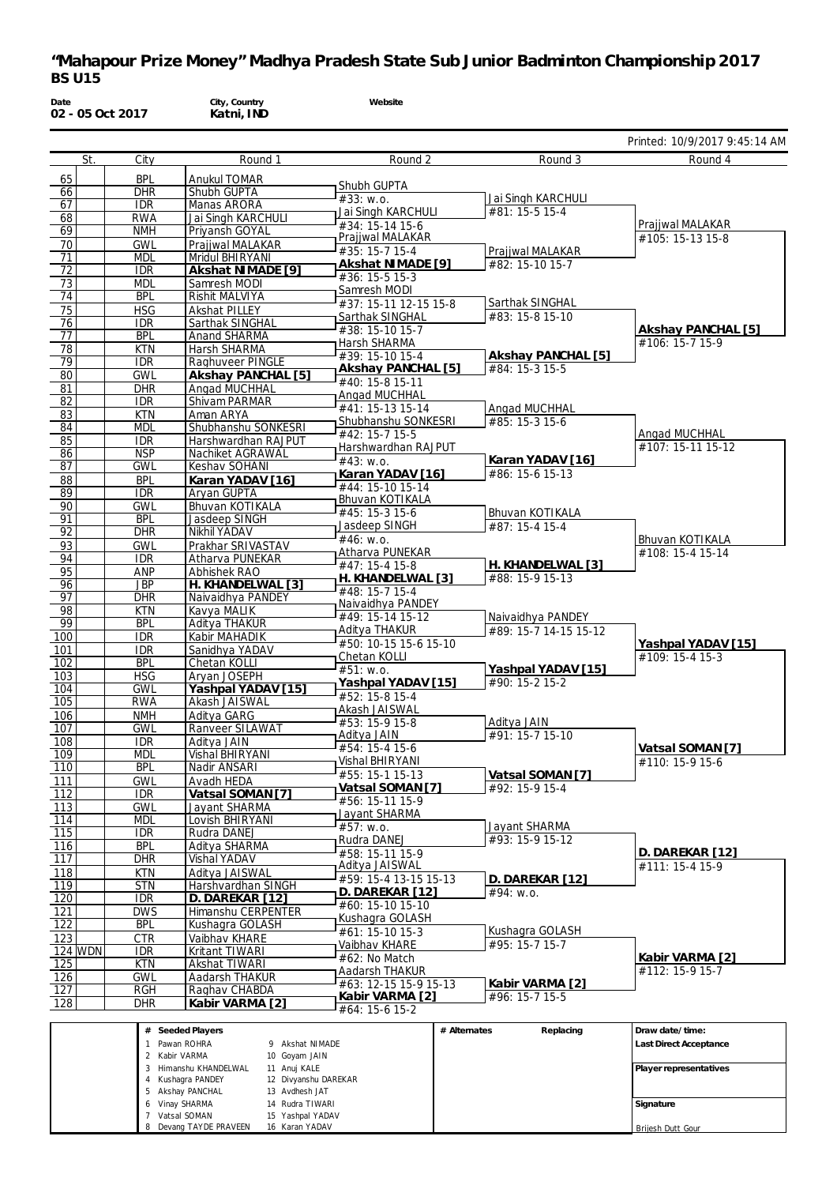| Date<br>02 - 05 Oct 2017 |                          | City, Country<br>Katni, IND            | Website                                  |                                   |                                       |
|--------------------------|--------------------------|----------------------------------------|------------------------------------------|-----------------------------------|---------------------------------------|
|                          |                          |                                        |                                          |                                   | Printed: 10/9/2017 9:45:14 AM         |
| St.                      | City                     | Round 1                                | Round 2                                  | Round 3                           | Round 4                               |
| 65                       | <b>BPL</b>               | <b>Anukul TOMAR</b>                    |                                          |                                   |                                       |
| 66                       | DHR                      | Shubh GUPTA                            | Shubh GUPTA<br>#33: w.o.                 | Jai Singh KARCHULI                |                                       |
| 67                       | <b>IDR</b>               | Manas ARORA                            | Jai Singh KARCHULI                       | #81: 15-5 15-4                    |                                       |
| 68                       | <b>RWA</b>               | Jai Singh KARCHULI                     | #34: 15-14 15-6                          |                                   | Prajjwal MALAKAR                      |
| 69                       | <b>NMH</b>               | Priyansh GOYAL                         | Prajiwal MALAKAR                         |                                   | #105: 15-13 15-8                      |
| 70<br>71                 | <b>GWL</b><br><b>MDL</b> | Prajjwal MALAKAR<br>Mridul BHIRYANI    | #35: 15-7 15-4                           | Prajjwal MALAKAR                  |                                       |
| 72                       | <b>IDR</b>               | Akshat NIMADE [9]                      | Akshat NIMADE [9]                        | #82: 15-10 15-7                   |                                       |
| 73                       | <b>MDL</b>               | Samresh MODI                           | #36: 15-5 15-3                           |                                   |                                       |
| 74                       | <b>BPL</b>               | Rishit MALVIYA                         | Samresh MODI                             | Sarthak SINGHAL                   |                                       |
| 75                       | <b>HSG</b>               | Akshat PILLEY                          | #37: 15-11 12-15 15-8<br>Sarthak SINGHAL | #83: 15-8 15-10                   |                                       |
| 76                       | <b>IDR</b>               | Sarthak SINGHAL                        | #38: 15-10 15-7                          |                                   | Akshay PANCHAL [5]                    |
| 77                       | <b>BPL</b>               | Anand SHARMA                           | Harsh SHARMA                             |                                   | #106: 15-7 15-9                       |
| 78                       | <b>KTN</b><br><b>IDR</b> | Harsh SHARMA                           | #39: 15-10 15-4                          | Akshay PANCHAL [5]                |                                       |
| 79<br>80                 | <b>GWL</b>               | Raghuveer PINGLE<br>Akshay PANCHAL [5] | Akshay PANCHAL [5]                       | #84: 15-3 15-5                    |                                       |
| 81                       | <b>DHR</b>               | Angad MUCHHAL                          | #40: 15-8 15-11                          |                                   |                                       |
| 82                       | <b>IDR</b>               | Shivam PARMAR                          | Angad MUCHHAL                            |                                   |                                       |
| 83                       | <b>KTN</b>               | Aman ARYA                              | #41: 15-13 15-14                         | Angad MUCHHAL                     |                                       |
| 84                       | <b>MDL</b>               | Shubhanshu SONKESRI                    | Shubhanshu SONKESRI<br>#42: 15-7 15-5    | #85: 15-3 15-6                    | Angad MUCHHAL                         |
| 85                       | <b>IDR</b>               | Harshwardhan RAJPUT                    | Harshwardhan RAJPUT                      |                                   | #107: 15-11 15-12                     |
| 86                       | <b>NSP</b>               | Nachiket AGRAWAL                       | #43: W.0.                                | Karan YADAV [16]                  |                                       |
| 87                       | <b>GWL</b>               | Keshav SOHANI                          | Karan YADAV [16]                         | #86: 15-6 15-13                   |                                       |
| 88<br>89                 | <b>BPL</b><br><b>IDR</b> | Karan YADAV [16]<br>Aryan GUPTA        | #44: 15-10 15-14                         |                                   |                                       |
| 90                       | <b>GWL</b>               | Bhuvan KOTIKALA                        | Bhuvan KOTIKALA                          |                                   |                                       |
| 91                       | <b>BPL</b>               | Jasdeep SINGH                          | #45: 15-3 15-6                           | Bhuvan KOTIKALA                   |                                       |
| 92                       | <b>DHR</b>               | Nikhil YADAV                           | Jasdeep SINGH                            | #87: 15-4 15-4                    |                                       |
| 93                       | <b>GWL</b>               | Prakhar SRIVASTAV                      | #46: W.0.<br>Atharva PUNEKAR             |                                   | Bhuvan KOTIKALA<br>#108: 15-4 15-14   |
| 94                       | <b>IDR</b>               | Atharva PUNEKAR                        | #47: 15-4 15-8                           | H. KHANDELWAL [3]                 |                                       |
| 95                       | ANP                      | Abhishek RAO                           | H. KHANDELWAL [3]                        | #88: 15-9 15-13                   |                                       |
| 96<br>97                 | <b>JBP</b><br><b>DHR</b> | H. KHANDELWAL [3]<br>Naivaidhya PANDEY | #48: 15-7 15-4                           |                                   |                                       |
| 98                       | <b>KTN</b>               | Kavya MALIK                            | Naivaidhya PANDEY                        |                                   |                                       |
| 99                       | <b>BPL</b>               | Aditya THAKUR                          | #49: 15-14 15-12                         | Naivaidhya PANDEY                 |                                       |
| 100                      | <b>IDR</b>               | Kabir MAHADIK                          | Aditya THAKUR                            | #89: 15-7 14-15 15-12             |                                       |
| 101                      | <b>IDR</b>               | Sanidhya YADAV                         | #50: 10-15 15-6 15-10<br>Chetan KOLLI    |                                   | Yashpal YADAV [15]<br>#109: 15-4 15-3 |
| 102                      | <b>BPL</b>               | Chetan KOLLI                           | #51: W.0.                                | Yashpal YADAV [15]                |                                       |
| 103                      | <b>HSG</b>               | Aryan JOSEPH                           | Yashpal YADAV [15]                       | #90: 15-2 15-2                    |                                       |
| 104<br>105               | <b>GWL</b><br><b>RWA</b> | Yashpal YADAV [15]<br>Akash JAISWAL    | #52: 15-8 15-4                           |                                   |                                       |
| 106                      | <b>NMH</b>               | Aditya GARG                            | Akash JAISWAL                            |                                   |                                       |
| 107                      | <b>GWL</b>               | <b>Ranveer SILAWAT</b>                 | #53: 15-9 15-8                           | Aditya JAIN                       |                                       |
| 108                      | <b>IDR</b>               | Aditva JAIN                            | Aditya JAIN<br>#54: 15-4 15-6            | #91: 15-7 15-10                   |                                       |
| 109                      | <b>MDL</b>               | <b>Vishal BHIRYANI</b>                 | Vishal BHIRYANI                          |                                   | Vatsal SOMAN [7]<br>#110: 15-9 15-6   |
| 110                      | <b>BPL</b>               | Nadir ANSARI                           | #55: 15-1 15-13                          | Vatsal SOMAN [7]                  |                                       |
| 111                      | <b>GWL</b>               | Avadh HEDA                             | Vatsal SOMAN [7]                         | #92: 15-9 15-4                    |                                       |
| 112                      | IDR                      | Vatsal SOMAN [7]                       | #56: 15-11 15-9                          |                                   |                                       |
| 113<br>114               | <b>GWL</b><br><b>MDL</b> | Jayant SHARMA<br>Lovish BHIRYANI       | Jayant SHARMA                            |                                   |                                       |
| 115                      | <b>IDR</b>               | Rudra DANEJ                            | #57: w.o.                                | Jayant SHARMA                     |                                       |
| 116                      | <b>BPL</b>               | Aditya SHARMA                          | Rudra DANEJ                              | #93: 15-9 15-12                   |                                       |
| 117                      | DHR                      | Vishal YADAV                           | #58: 15-11 15-9                          |                                   | D. DAREKAR [12]                       |
| 118                      | <b>KTN</b>               | Aditya JAISWAL                         | Aditya JAISWAL<br>#59: 15-4 13-15 15-13  | D. DAREKAR [12]                   | #111: 15-4 15-9                       |
| 119                      | <b>STN</b>               | Harshvardhan SINGH                     | D. DAREKAR [12]                          | #94: W.0.                         |                                       |
| 120                      | <b>IDR</b>               | D. DAREKAR [12]                        | #60: 15-10 15-10                         |                                   |                                       |
| 121                      | <b>DWS</b>               | Himanshu CERPENTER                     | Kushaqra GOLASH                          |                                   |                                       |
| 122<br>123               | <b>BPL</b><br><b>CTR</b> | Kushagra GOLASH<br>Vaibhav KHARE       | #61: 15-10 15-3                          | Kushagra GOLASH                   |                                       |
| <b>124 WDN</b>           | <b>IDR</b>               | Kritant TIWARI                         | Vaibhav KHARE                            | #95: 15-7 15-7                    |                                       |
| 125                      | <b>KTN</b>               | Akshat TIWARI                          | $#62$ : No Match                         |                                   | Kabir VARMA [2]                       |
| 126                      | <b>GWL</b>               | Aadarsh THAKUR                         | Aadarsh THAKUR                           |                                   | #112: 15-9 15-7                       |
| 127                      | RGH                      | Raghav CHABDA                          | #63: 12-15 15-9 15-13<br>Kabir VARMA [2] | Kabir VARMA [2]<br>#96: 15-7 15-5 |                                       |
| 128                      | <b>DHR</b>               | Kabir VARMA [2]                        | $\#L$ 4. 1E $\angle$ 1E $\cap$           |                                   |                                       |

| # Seeded Players       |                      | # Alternates | Replacing | Draw date/time:        |
|------------------------|----------------------|--------------|-----------|------------------------|
| Pawan ROHRA            | 9 Akshat NIMADE      |              |           | Last Direct Acceptance |
| 2 Kabir VARMA          | 10 Goyam JAIN        |              |           |                        |
| 3 Himanshu KHANDELWAL  | 11 Anuj KALE         |              |           | Player representatives |
| 4 Kushaqra PANDEY      | 12 Divyanshu DAREKAR |              |           |                        |
| 5 Akshay PANCHAL       | 13 Avdhesh JAT       |              |           |                        |
| 6 Vinay SHARMA         | 14 Rudra TIWARI      |              |           | Signature              |
| Vatsal SOMAN           | 15 Yashpal YADAV     |              |           |                        |
| 8 Devang TAYDE PRAVEEN | 16 Karan YADAV       |              |           | Brijesh Dutt Gour      |

#64: 15-6 15-2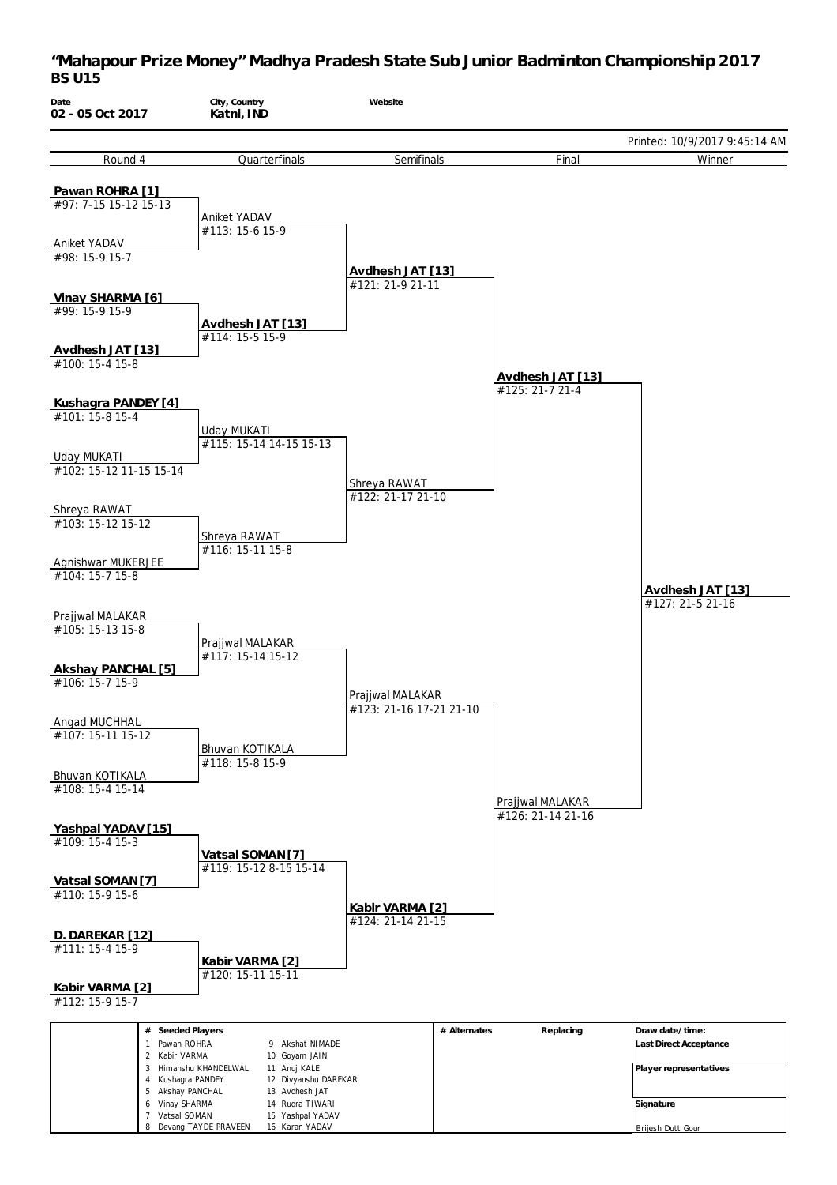

Brijesh Dutt Gour

Devang TAYDE PRAVEEN

16 Karan YADAV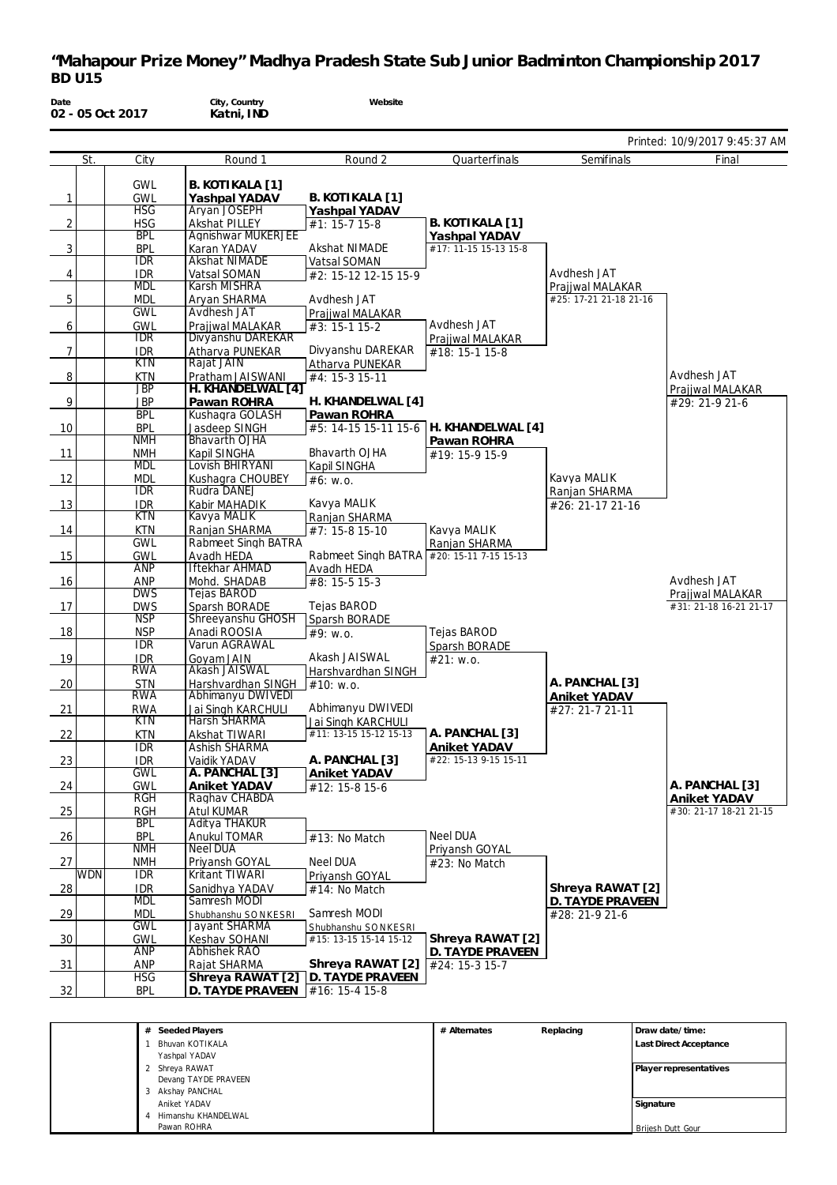| Date<br>02 - 05 Oct 2017 |                          | City, Country<br>Katni, IND          | Website                                   |                       |                                    |                                        |
|--------------------------|--------------------------|--------------------------------------|-------------------------------------------|-----------------------|------------------------------------|----------------------------------------|
|                          |                          |                                      |                                           |                       |                                    | Printed: 10/9/2017 9:45:37 AM          |
| St.                      | City                     | Round 1                              | Round 2                                   | Quarterfinals         | Semifinals                         | Final                                  |
|                          | <b>GWL</b>               | B. KOTIKALA [1]                      |                                           |                       |                                    |                                        |
| $\overline{1}$           | <b>GWL</b>               | Yashpal YADAV                        | B. KOTIKALA [1]                           |                       |                                    |                                        |
|                          | <b>HSG</b>               | Aryan JOSEPH                         | Yashpal YADAV                             |                       |                                    |                                        |
| 2                        | <b>HSG</b>               | <b>Akshat PILLEY</b>                 | #1: 15-7 15-8                             | B. KOTIKALA [1]       |                                    |                                        |
|                          | <b>BPL</b>               | <b>Agnishwar MUKERJEE</b>            |                                           | Yashpal YADAV         |                                    |                                        |
| $\mathbf{3}$             | <b>BPL</b><br><b>IDR</b> | Karan YADAV<br><b>Akshat NIMADE</b>  | Akshat NIMADE                             | #17: 11-15 15-13 15-8 |                                    |                                        |
| $\overline{4}$           | IDR                      | Vatsal SOMAN                         | Vatsal SOMAN<br>#2: 15-12 12-15 15-9      |                       | Avdhesh JAT                        |                                        |
|                          | <b>MDL</b>               | Karsh MISHRA                         |                                           |                       | Prajjwal MALAKAR                   |                                        |
| $5\phantom{.0}$          | <b>MDL</b>               | Aryan SHARMA                         | Avdhesh JAT                               |                       | #25: 17-21 21-18 21-16             |                                        |
|                          | <b>GWL</b>               | Avdhesh JAT                          | Prajiwal MALAKAR                          |                       |                                    |                                        |
| 6                        | GWL                      | Prajjwal MALAKAR                     | #3: 15-1 15-2                             | Avdhesh JAT           |                                    |                                        |
|                          | <b>IDR</b>               | Divyanshu DAREKAR                    |                                           | Prajjwal MALAKAR      |                                    |                                        |
| $\overline{7}$           | IDR.<br><b>KTN</b>       | Atharva PUNEKAR<br>Rajat JAIN        | Divyanshu DAREKAR<br>Atharva PUNEKAR      | #18: 15-1 15-8        |                                    |                                        |
| 8                        | KTN                      | Pratham JAISWANI                     | #4: 15-3 15-11                            |                       |                                    | Avdhesh JAT                            |
|                          | <b>JBP</b>               | H. KHANDELWAL [4]                    |                                           |                       |                                    | Prajjwal MALAKAR                       |
| 9                        | <b>JBP</b>               | Pawan ROHRA                          | H. KHANDELWAL [4]                         |                       |                                    | #29: 21-9 21-6                         |
|                          | <b>BPL</b>               | Kushagra GOLASH                      | Pawan ROHRA                               |                       |                                    |                                        |
| 10                       | <b>BPL</b>               | Jasdeep SINGH                        | #5: 14-15 15-11 15-6                      | H. KHANDELWAL [4]     |                                    |                                        |
| 11                       | <b>NMH</b>               | <b>Bhavarth OJHA</b>                 | Bhavarth OJHA                             | Pawan ROHRA           |                                    |                                        |
|                          | <b>NMH</b><br><b>MDL</b> | Kapil SINGHA<br>Lovish BHIRYANI      | Kapil SINGHA                              | #19: 15-9 15-9        |                                    |                                        |
| 12                       | <b>MDL</b>               | Kushagra CHOUBEY                     | #6: W.0.                                  |                       | Kavya MALIK                        |                                        |
|                          | IDR                      | Rudra DANEJ                          |                                           |                       | Ranjan SHARMA                      |                                        |
| 13                       | <b>IDR</b>               | Kabir MAHADIK                        | Kavya MALIK                               |                       | #26: 21-17 21-16                   |                                        |
|                          | <b>KTN</b>               | Kavya MALIK                          | Ranjan SHARMA                             |                       |                                    |                                        |
| 14                       | <b>KTN</b><br><b>GWL</b> | Ranjan SHARMA<br>Rabmeet Singh BATRA | #7: 15-8 15-10                            | Kavya MALIK           |                                    |                                        |
| 15                       | <b>GWL</b>               | Avadh HEDA                           | Rabmeet Singh BATRA #20: 15-11 7-15 15-13 | Ranjan SHARMA         |                                    |                                        |
|                          | <b>ANP</b>               | <b>Iftekhar AHMAD</b>                | Avadh HEDA                                |                       |                                    |                                        |
| 16                       | ANP                      | Mohd. SHADAB                         | #8: 15-5 15-3                             |                       |                                    | Avdhesh JAT                            |
|                          | <b>DWS</b>               | Tejas BAROD                          |                                           |                       |                                    | Prajjwal MALAKAR                       |
| 17                       | <b>DWS</b><br><b>NSP</b> | Sparsh BORADE<br>Shreeyanshu GHOSH   | Tejas BAROD                               |                       |                                    | #31: 21-18 16-21 21-17                 |
| 18                       | <b>NSP</b>               | Anadi ROOSIA                         | Sparsh BORADE<br>#9: W.0.                 | Teias BAROD           |                                    |                                        |
|                          | <b>IDR</b>               | Varun AGRAWAL                        |                                           | Sparsh BORADE         |                                    |                                        |
| 19                       | <b>IDR</b>               | Goyam JAIN                           | Akash JAISWAL                             | #21: W.0.             |                                    |                                        |
|                          | <b>RWA</b>               | Akash JAISWAL                        | Harshvardhan SINGH                        |                       |                                    |                                        |
| 20                       | <b>STN</b>               | Harshvardhan SINGH                   | $\sqrt{\#}10$ : w.o.                      |                       | A. PANCHAL [3]                     |                                        |
|                          | <b>RWA</b>               | Abhimanyu DWIVEDI                    | Abhimanyu DWIVEDI                         |                       | Aniket YADAV                       |                                        |
| 21                       | RWA<br>KIN               | Jai Singh KARCHULI<br>Harsh SHARMA   | Jai Singh KARCHULI                        |                       | #27: 21-7 21-11                    |                                        |
| 22                       | KTN                      | Akshat TIWARI                        | #11: 13-15 15-12 15-13                    | A. PANCHAL [3]        |                                    |                                        |
|                          | IDR                      | <b>Ashish SHARMA</b>                 |                                           | Aniket YADAV          |                                    |                                        |
| 23                       | idr                      | Vaidik YADAV                         | A. PANCHAL [3]                            | #22: 15-13 9-15 15-11 |                                    |                                        |
|                          | GWL                      | A. PANCHAL [3]                       | Aniket YADAV                              |                       |                                    |                                        |
| 24                       | GWL<br>RGH               | Aniket YADAV                         | #12: 15-8 15-6                            |                       |                                    | A. PANCHAL [3]                         |
| 25                       | RGH                      | Raghav CHABDA<br>Atul KUMAR          |                                           |                       |                                    | Aniket YADAV<br>#30: 21-17 18-21 21-15 |
|                          | <b>BPL</b>               | Aditya THAKUR                        |                                           |                       |                                    |                                        |
| 26                       | <b>BPL</b>               | Anukul TOMAR                         | #13: No Match                             | Neel DUA              |                                    |                                        |
|                          | <b>NMH</b>               | <b>Neel DUA</b>                      |                                           | Priyansh GOYAL        |                                    |                                        |
| 27                       | <b>NMH</b>               | Priyansh GOYAL                       | <b>Neel DUA</b>                           | #23: No Match         |                                    |                                        |
| <b>WDN</b>               | IDR                      | Kritant TIWARI                       | Priyansh GOYAL                            |                       |                                    |                                        |
| $\frac{28}{2}$           | <b>IDR</b><br><b>MDL</b> | Sanidhya YADAV<br>Samresh MODI       | #14: No Match                             |                       | Shreya RAWAT [2]                   |                                        |
| $\frac{29}{ }$           | <b>MDL</b>               | Shubhanshu SONKESRI                  | Samresh MODI                              |                       | D. TAYDE PRAVEEN<br>#28: 21-9 21-6 |                                        |
|                          | <b>GWL</b>               | Jayant SHARMA                        | Shubhanshu SONKESRI                       |                       |                                    |                                        |
| 30                       | GWL                      | Keshav SOHANI                        | #15: 13-15 15-14 15-12                    | Shreya RAWAT [2]      |                                    |                                        |
|                          | <b>ANP</b>               | Abhishek RAO                         |                                           | D. TAYDE PRAVEEN      |                                    |                                        |
| 31                       | ANP                      | Rajat SHARMA                         | Shreya RAWAT [2]                          | #24: 15-3 15-7        |                                    |                                        |
|                          | <b>HSG</b>               |                                      | Shreya RAWAT [2] D. TAYDE PRAVEEN         |                       |                                    |                                        |
| 32                       | <b>BPL</b>               | D. TAYDE PRAVEEN   #16: 15-4 15-8    |                                           |                       |                                    |                                        |
|                          |                          |                                      |                                           |                       |                                    |                                        |
|                          |                          | # Seeded Plavers                     |                                           | # Alternates          | Replacing                          | Draw date/time:                        |

| # Seeded Players     | # Alternates | Replacing | Draw date/time:               |
|----------------------|--------------|-----------|-------------------------------|
| Bhuvan KOTIKALA      |              |           | <b>Last Direct Acceptance</b> |
| Yashpal YADAV        |              |           |                               |
| Shreya RAWAT         |              |           | Player representatives        |
| Devang TAYDE PRAVEEN |              |           |                               |
| Akshay PANCHAL<br>3. |              |           |                               |
| Aniket YADAV         |              |           | Signature                     |
| Himanshu KHANDELWAL  |              |           |                               |
| Pawan ROHRA          |              |           | Brijesh Dutt Gour             |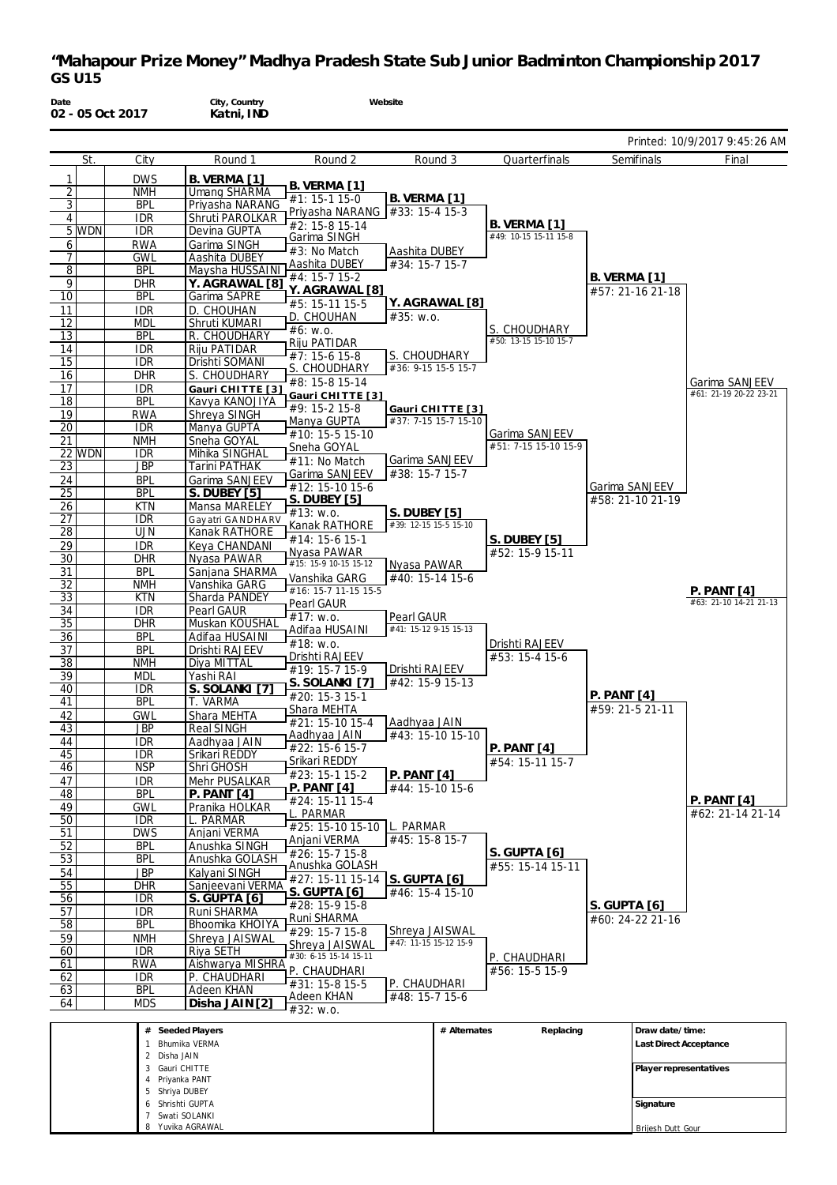**Date 02 - 05 Oct 2017 City, Country Katni, IND Website** Printed: 10/9/2017 9:45:26 AM St. City Round 1 1 DWS B. VERMA [1]<br>
2 NMH Umang SHARM 2 **NMH** Umang SHARMA<br>3 BPL Privasha NARAN Priyasha NARANG 4 IDR Shruti PAROLKAR<br>5 WDN IDR Devina GUPTA **IDR Devina GUPTA** 6 RWA Garima SINGH<br>7 GWL Aashita DUBEY 7 GWL Aashita DUBEY<br>8 BPL Maysha HUSSA 8 BPL Maysha HUSSAINI<br>9 DHR Y. AGRAWAL [8] 9 DHR **Y. AGRAWAL [8]** Garima SAPRE 11 IDR D. CHOUHAN<br>12 IDR Shruti KUMAR 12 MDL Shruti KUMARI<br>13 RPL R CHOUDHAF R. CHOUDHARY 14 IDR Riju PATIDAR<br>15 IDR Drishti SOMAN 15 IDR Drishti SOMANI<br>16 DHR S. CHOUDHARY **DHR S. CHOUDHARY**<br>**IDR** Gauri CHITTE I 17 **IDR Gauri CHITTE** [3] 18 BPL Kavya KANOJIYA<br>19 RWA Shreva SINGH 19 RWA Shreya SINGH<br>20 IDR Manya GUPTA Manya GUPTA 21 **NMH** Sneha GOYAL<br>22 WDN IDR Mihika SINGH **IDR Mihika SINGHAL<br>JBP Tarini PATHAK** 23 JBP Tarini PATHAK<br>24 BPL Garima SANJE<br>25 BPL S. DUBEY [5] **BPL** Garima SANJEEV<br> **BPL** S. DUBEY [5] 25 BPL **S. DUBEY [5]** 26 KTN Mansa MARELEY<br>27 IDR Gavatri GANDHAI 27 IDR Gay atri GANDHA RV<br>28 UJN Kanak RATHORE 28 UJN Kanak RATHORE<br>29 IDR Keya CHANDANI 29 IDR Keya CHANDANI<br>30 DHR Nyasa PAWAR DHR Nyasa PAWAR 31 BPL Sanjana SHARMA<br>32 MMH Vanshika GARG 32 **NMH** Vanshika GARG<br>33 KTN Sharda PANDE Sharda PANDEY 34 IDR Pearl GAUR<br>35 DHR Muskan KOI 35 DHR Muskan KOUSHAL<br>36 BPL Adifaa HUSAINI Adifaa HUSAINI 37 BPL Drishti RAJEEV<br>38 NMH Diya MITTAL 38 **NMH** Diya MITTAL<br>39 MDL Yashi RAI 39 MDL Yashi RAI<br>40 IDR S SOLAN 40 IDR **S. SOLANKI [7]** 41 BPL T. VARMA<br>42 GWL Shara MEH Shara MEHTA 43 JBP Real SINGH 14 **IDR** Aadhyaa JAIN<br>15 IDR Srikari REDDY 45 **IDR** Srikari REDDY<br>46 NSP Shri GHOSH Shri GHOSH 47 IDR Mehr PUSALKAR<br>48 BPL P. PANT [4] 48 BPL **P. PANT [4]** 49 GWL Pranika HOLKAR<br>50 IDR L. PARMAR 50 IDR L. PARMAR<br>51 DWS Anjani VERI 51 DWS Anjani VERMA<br>52 BPL Anushka SING 52 BPL Anushka SINGH<br>53 BPL Anushka GOLAS 53 BPL Anushka GOLASH<br>54 JBP Kalvani SINGH 54 JBP Kalyani SINGH<br>55 DHR Sanieevani VE 55 DHR Sanjeevani VERMA<br>56 IDR SGIJPTA T61 56 IDR **S. GUPTA [6]** 57 IDR Runi SHARMA<br>58 BPL Bhoomika KHC 58 BPL Bhoomika KHOIYA 59 NMH Shreya JAISWAL 60 **IDR** Riya SETH<br>61 RWA Aishwarya Aishwarya MISHRA 62 IDR P. CHAUDHARI<br>63 BPL Adeen KHAN **Adeen KHAN** Round 2 **B. VERMA [1]**  $\sqrt{41:}$  15-1 15-0 Priyasha NARANG #2: 15-8 15-14 Garima SINGH #3: No Match Aashita DUBEY #4: 15-7 15-2 **Y. AGRAWAL [8]** #5: 15-11 15-5 D. CHOUHAN #6: w.o. Riju PATIDAR #7: 15-6 15-8 <u>S. CHOUDHARY</u> #8: 15-8 15-14 **Gaur i CHIT T E [3]** #9: 15-2 15-8 Manya GUPTA #10: 15-5 15-10 Sneha GOYAL #11: No Match Garima SANJEEV #12: 15-10 15-6 **S. DUBEY [5]** #13: w.o. Kanak RATHORE #14: 15-6 15-1 Nyasa PAWAR #15: 15-9 10-15 15-12 Vanshika GARG #16: 15-7 11-15 15-5 Pearl GAUR  $\sqrt{\#17:}$  w.o. Adifaa HUSAINI #18: w.o. Drishti RAJEEV #19: 15-7 15-9 **S. SOLANKI [7]**  $\overline{420}$ : 15-3 15-1 Shara MEHTA #21: 15-10 15-4 Aadhyaa JAIN  $#22 \cdot 15 - 615 - 7$ Srikari REDDY #23: 15-1 15-2 **P. PANT [4]** #24: 15-11 15-4 L. PARMAR #25: 15-10 15-10 L. PARMAR Anjani VERMA #26: 15-7 15-8 Anushka GOLASH #27: 15-11 15-14 **S. GUPTA [6]** #28: 15-9 15-8 Runi SHARMA #29: 15-7 15-8 Shreya JAISWAL #30: 6-15 15-14 15-11 P. CHAUDHARI  $\overline{431: 15-815-5}$ Adeen KHAN Round 3 **B. VERMA [1]** #33: 15-4 15-3 Aashita DUBEY #34: 15-7 15-7 **Y. AGRAWAL [8]** #35: w.o. CHOUDHARY #36: 9-15 15-5 15-7 **Gaur i CHIT T E [3]** #37: 7-15 15-7 15-10 Garima SANJEEV #38: 15-7 15-7 **S. DUBEY [5]** #39: 12-15 15-5 15-10 Nyasa PAWAR #40: 15-14 15-6 Pearl GAUR #41: 15-12 9-15 15-13 Drishti RAJEEV #42: 15-9 15-13 Aadhyaa JAIN #43: 15-10 15-10 **P. PANT [4]** #44: 15-10 15-6 #45: 15-8 15-7 **S. GUPTA [6]** #46: 15-4 15-10 Shreya JAISWAL #47: 11-15 15-12 15-9 P. CHAUDHARI #48: 15-7 15-6 **Quarterfinals B. VERMA [1]** #49: 10-15 15-11 15-8 S. CHOUDHARY #50: 13-15 15-10 15-7 Garima SANJEEV #51: 7-15 15-10 15-9 **S. DUBEY [5]** #52: 15-9 15-11 Drishti RAJEEV #53: 15-4 15-6 **P. PANT [4]** #54: 15-11 15-7 **S. GUPTA [6]** #55: 15-14 15-11 P. CHAUDHARI #56: 15-5 15-9 **Semifinals B. VERMA [1]** #57: 21-16 21-18 Garima SANJEEV #58: 21-10 21-19 **P. PANT [4]** #59: 21-5 21-11 **S. GUPTA [6]** #60: 24-22 21-16 Final Garima SANJEEV #61: 21-19 20-22 23-21 **P. PANT [4]** #62: 21-14 21-14 **P. PANT [4]** #63: 21-10 14-21 21-13

**# Seeded Players** 1 Bhumika VERMA<br>2 Disha JAIN Disha JAIN 3 Gauri CHITTE 4 Priyanka PANT 5 Shriya DUBEY 6 Shrishti GUPTA 7 Swati SOLANKI Yuvika AGRAWA **# Alternates Replacing Draw date/time: Last Direct Acceptance Player representatives Signature** Brijesh Dutt Gour

#32: w.o.

64 MDS **Disha JAIN[2]**